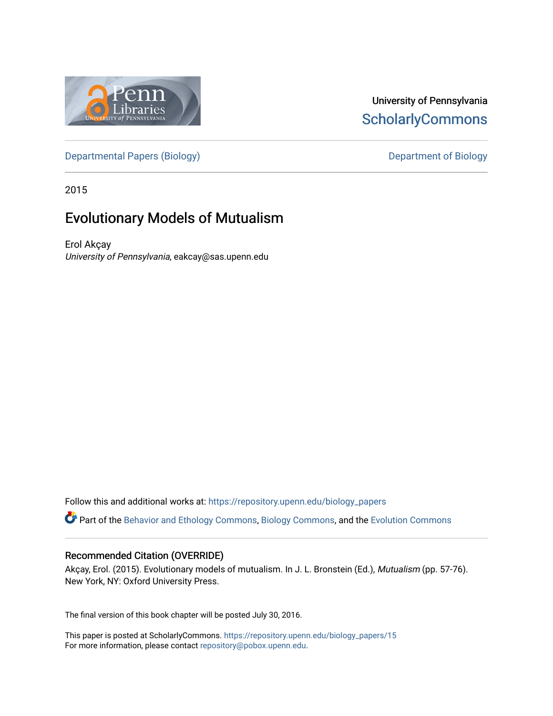

## University of Pennsylvania **ScholarlyCommons**

[Departmental Papers \(Biology\)](https://repository.upenn.edu/biology_papers) and Department of Biology

2015

## Evolutionary Models of Mutualism

Erol Akçay University of Pennsylvania, eakcay@sas.upenn.edu

Follow this and additional works at: [https://repository.upenn.edu/biology\\_papers](https://repository.upenn.edu/biology_papers?utm_source=repository.upenn.edu%2Fbiology_papers%2F15&utm_medium=PDF&utm_campaign=PDFCoverPages) 

Part of the [Behavior and Ethology Commons,](http://network.bepress.com/hgg/discipline/15?utm_source=repository.upenn.edu%2Fbiology_papers%2F15&utm_medium=PDF&utm_campaign=PDFCoverPages) [Biology Commons,](http://network.bepress.com/hgg/discipline/41?utm_source=repository.upenn.edu%2Fbiology_papers%2F15&utm_medium=PDF&utm_campaign=PDFCoverPages) and the [Evolution Commons](http://network.bepress.com/hgg/discipline/18?utm_source=repository.upenn.edu%2Fbiology_papers%2F15&utm_medium=PDF&utm_campaign=PDFCoverPages)

#### Recommended Citation (OVERRIDE)

Akçay, Erol. (2015). Evolutionary models of mutualism. In J. L. Bronstein (Ed.), Mutualism (pp. 57-76). New York, NY: Oxford University Press.

The final version of this book chapter will be posted July 30, 2016.

This paper is posted at ScholarlyCommons. [https://repository.upenn.edu/biology\\_papers/15](https://repository.upenn.edu/biology_papers/15) For more information, please contact [repository@pobox.upenn.edu.](mailto:repository@pobox.upenn.edu)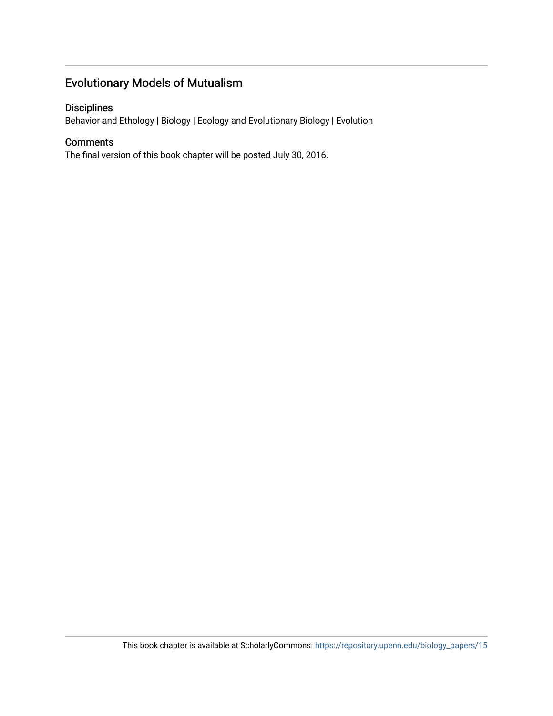## Evolutionary Models of Mutualism

#### Disciplines

Behavior and Ethology | Biology | Ecology and Evolutionary Biology | Evolution

#### **Comments**

The final version of this book chapter will be posted July 30, 2016.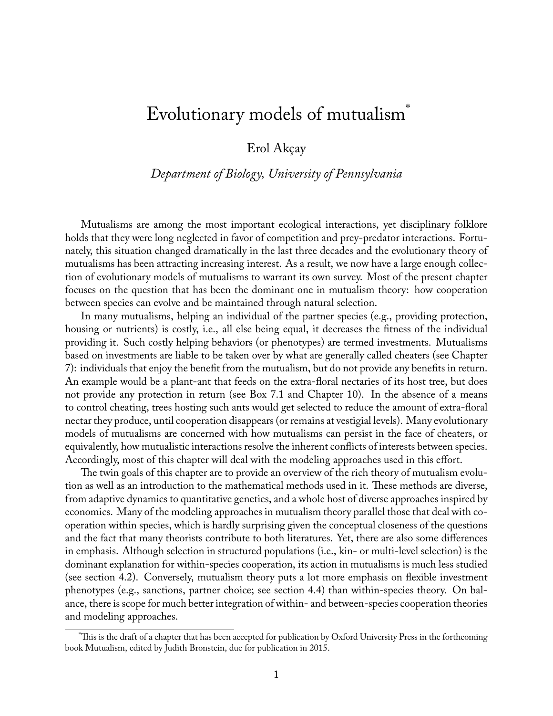# Evolutionary models of mutualism\*

Erol Akçay

*Department of Biology, University of Pennsylvania*

Mutualisms are among the most important ecological interactions, yet disciplinary folklore holds that they were long neglected in favor of competition and prey-predator interactions. Fortunately, this situation changed dramatically in the last three decades and the evolutionary theory of mutualisms has been attracting increasing interest. As a result, we now have a large enough collection of evolutionary models of mutualisms to warrant its own survey. Most of the present chapter focuses on the question that has been the dominant one in mutualism theory: how cooperation between species can evolve and be maintained through natural selection.

In many mutualisms, helping an individual of the partner species (e.g., providing protection, housing or nutrients) is costly, i.e., all else being equal, it decreases the fitness of the individual providing it. Such costly helping behaviors (or phenotypes) are termed investments. Mutualisms based on investments are liable to be taken over by what are generally called cheaters (see Chapter 7): individuals that enjoy the benefit from the mutualism, but do not provide any benefits in return. An example would be a plant-ant that feeds on the extra-floral nectaries of its host tree, but does not provide any protection in return (see Box 7.1 and Chapter 10). In the absence of a means to control cheating, trees hosting such ants would get selected to reduce the amount of extra-floral nectar they produce, until cooperation disappears (or remains at vestigial levels). Many evolutionary models of mutualisms are concerned with how mutualisms can persist in the face of cheaters, or equivalently, how mutualistic interactions resolve the inherent conflicts of interests between species. Accordingly, most of this chapter will deal with the modeling approaches used in this effort.

The twin goals of this chapter are to provide an overview of the rich theory of mutualism evolution as well as an introduction to the mathematical methods used in it. These methods are diverse, from adaptive dynamics to quantitative genetics, and a whole host of diverse approaches inspired by economics. Many of the modeling approaches in mutualism theory parallel those that deal with cooperation within species, which is hardly surprising given the conceptual closeness of the questions and the fact that many theorists contribute to both literatures. Yet, there are also some differences in emphasis. Although selection in structured populations (i.e., kin- or multi-level selection) is the dominant explanation for within-species cooperation, its action in mutualisms is much less studied (see section 4.2). Conversely, mutualism theory puts a lot more emphasis on flexible investment phenotypes (e.g., sanctions, partner choice; see section 4.4) than within-species theory. On balance, there is scope for much better integration of within- and between-species cooperation theories and modeling approaches.

<sup>\*</sup>This is the draft of a chapter that has been accepted for publication by Oxford University Press in the forthcoming book Mutualism, edited by Judith Bronstein, due for publication in 2015.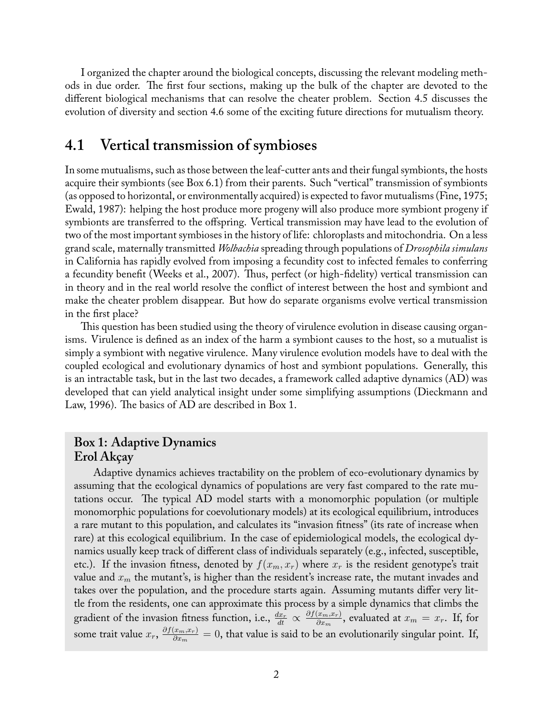I organized the chapter around the biological concepts, discussing the relevant modeling methods in due order. The first four sections, making up the bulk of the chapter are devoted to the different biological mechanisms that can resolve the cheater problem. Section 4.5 discusses the evolution of diversity and section 4.6 some of the exciting future directions for mutualism theory.

## **4.1 Vertical transmission of symbioses**

In some mutualisms, such as those between the leaf-cutter ants and their fungal symbionts, the hosts acquire their symbionts (see Box 6.1) from their parents. Such "vertical" transmission of symbionts (as opposed to horizontal, or environmentally acquired) is expected to favor mutualisms (Fine, 1975; Ewald, 1987): helping the host produce more progeny will also produce more symbiont progeny if symbionts are transferred to the offspring. Vertical transmission may have lead to the evolution of two of the most important symbioses in the history of life: chloroplasts and mitochondria. On a less grand scale, maternally transmitted *Wolbachia* spreading through populations of *Drosophila simulans* in California has rapidly evolved from imposing a fecundity cost to infected females to conferring a fecundity benefit (Weeks et al., 2007). Thus, perfect (or high-fidelity) vertical transmission can in theory and in the real world resolve the conflict of interest between the host and symbiont and make the cheater problem disappear. But how do separate organisms evolve vertical transmission in the first place?

This question has been studied using the theory of virulence evolution in disease causing organisms. Virulence is defined as an index of the harm a symbiont causes to the host, so a mutualist is simply a symbiont with negative virulence. Many virulence evolution models have to deal with the coupled ecological and evolutionary dynamics of host and symbiont populations. Generally, this is an intractable task, but in the last two decades, a framework called adaptive dynamics (AD) was developed that can yield analytical insight under some simplifying assumptions (Dieckmann and Law, 1996). The basics of AD are described in Box 1.

### **Box 1: Adaptive Dynamics Erol Akçay**

Adaptive dynamics achieves tractability on the problem of eco-evolutionary dynamics by assuming that the ecological dynamics of populations are very fast compared to the rate mutations occur. The typical AD model starts with a monomorphic population (or multiple monomorphic populations for coevolutionary models) at its ecological equilibrium, introduces a rare mutant to this population, and calculates its "invasion fitness" (its rate of increase when rare) at this ecological equilibrium. In the case of epidemiological models, the ecological dynamics usually keep track of different class of individuals separately (e.g., infected, susceptible, etc.). If the invasion fitness, denoted by  $f(x_m, x_r)$  where  $x_r$  is the resident genotype's trait value and *x<sup>m</sup>* the mutant's, is higher than the resident's increase rate, the mutant invades and takes over the population, and the procedure starts again. Assuming mutants differ very little from the residents, one can approximate this process by a simple dynamics that climbs the gradient of the invasion fitness function, i.e.,  $\frac{dx_r}{dt} \propto \frac{\partial f(x_m, x_r)}{\partial x_m}$  $\frac{f(x_m,x_r)}{\partial x_m}$ , evaluated at  $x_m=x_r$ . If, for some trait value  $x_r$ ,  $\frac{\partial f(x_m, x_r)}{\partial x_m}$  $\frac{\langle x_m, x_r \rangle}{\partial x_m} = 0$ , that value is said to be an evolutionarily singular point. If,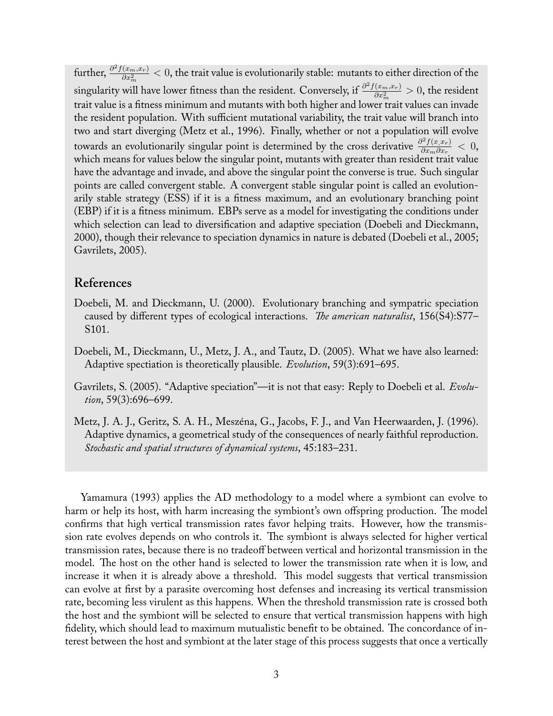further,  $\frac{\partial^2 f(x_m, x_r)}{\partial x^2}$  $\frac{(x_m,x_r)}{\partial x_m^2} < 0$ , the trait value is evolutionarily stable: mutants to either direction of the singularity will have lower fitness than the resident. Conversely, if  $\frac{\partial^2 f(x_m, x_r)}{\partial x^2}$  $\frac{(x_m,x_r)}{\partial x_m^2}>0,$  the resident trait value is a fitness minimum and mutants with both higher and lower trait values can invade the resident population. With sufficient mutational variability, the trait value will branch into two and start diverging (Metz et al., 1996). Finally, whether or not a population will evolve towards an evolutionarily singular point is determined by the cross derivative  $\frac{\partial^2 f(x, x_r)}{\partial x_m \partial x_n}$  $\frac{\partial^2 f(x, x_r)}{\partial x_m \partial x_r} < 0,$ which means for values below the singular point, mutants with greater than resident trait value have the advantage and invade, and above the singular point the converse is true. Such singular points are called convergent stable. A convergent stable singular point is called an evolutionarily stable strategy (ESS) if it is a fitness maximum, and an evolutionary branching point (EBP) if it is a fitness minimum. EBPs serve as a model for investigating the conditions under which selection can lead to diversification and adaptive speciation (Doebeli and Dieckmann, 2000), though their relevance to speciation dynamics in nature is debated (Doebeli et al., 2005; Gavrilets, 2005).

#### **References**

- Doebeli, M. and Dieckmann, U. (2000). Evolutionary branching and sympatric speciation caused by different types of ecological interactions. *The american naturalist*, 156(S4):S77– S101.
- Doebeli, M., Dieckmann, U., Metz, J. A., and Tautz, D. (2005). What we have also learned: Adaptive spectiation is theoretically plausible. *Evolution*, 59(3):691–695.
- Gavrilets, S. (2005). "Adaptive speciation"—it is not that easy: Reply to Doebeli et al. *Evolution*, 59(3):696–699.
- Metz, J. A. J., Geritz, S. A. H., Meszéna, G., Jacobs, F. J., and Van Heerwaarden, J. (1996). Adaptive dynamics, a geometrical study of the consequences of nearly faithful reproduction. *Stochastic and spatial structures of dynamical systems*, 45:183–231.

Yamamura (1993) applies the AD methodology to a model where a symbiont can evolve to harm or help its host, with harm increasing the symbiont's own offspring production. The model confirms that high vertical transmission rates favor helping traits. However, how the transmission rate evolves depends on who controls it. The symbiont is always selected for higher vertical transmission rates, because there is no tradeoff between vertical and horizontal transmission in the model. The host on the other hand is selected to lower the transmission rate when it is low, and increase it when it is already above a threshold. This model suggests that vertical transmission can evolve at first by a parasite overcoming host defenses and increasing its vertical transmission rate, becoming less virulent as this happens. When the threshold transmission rate is crossed both the host and the symbiont will be selected to ensure that vertical transmission happens with high fidelity, which should lead to maximum mutualistic benefit to be obtained. The concordance of interest between the host and symbiont at the later stage of this process suggests that once a vertically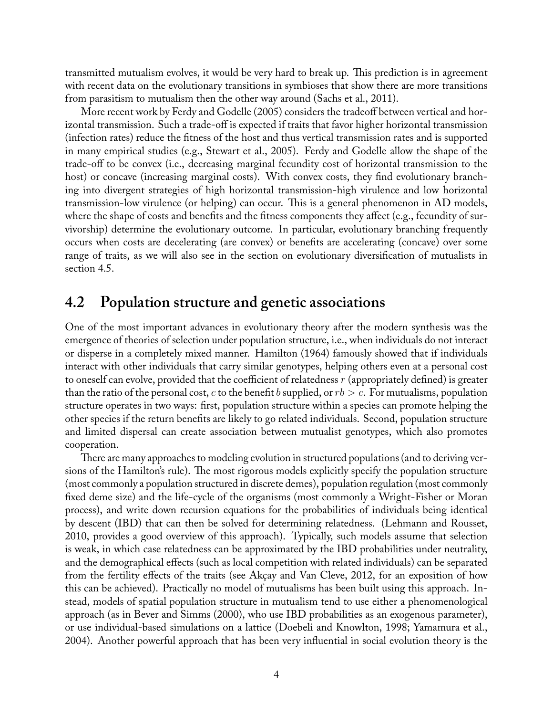transmitted mutualism evolves, it would be very hard to break up. This prediction is in agreement with recent data on the evolutionary transitions in symbioses that show there are more transitions from parasitism to mutualism then the other way around (Sachs et al., 2011).

More recent work by Ferdy and Godelle (2005) considers the tradeoff between vertical and horizontal transmission. Such a trade-off is expected if traits that favor higher horizontal transmission (infection rates) reduce the fitness of the host and thus vertical transmission rates and is supported in many empirical studies (e.g., Stewart et al., 2005). Ferdy and Godelle allow the shape of the trade-off to be convex (i.e., decreasing marginal fecundity cost of horizontal transmission to the host) or concave (increasing marginal costs). With convex costs, they find evolutionary branching into divergent strategies of high horizontal transmission-high virulence and low horizontal transmission-low virulence (or helping) can occur. This is a general phenomenon in AD models, where the shape of costs and benefits and the fitness components they affect (e.g., fecundity of survivorship) determine the evolutionary outcome. In particular, evolutionary branching frequently occurs when costs are decelerating (are convex) or benefits are accelerating (concave) over some range of traits, as we will also see in the section on evolutionary diversification of mutualists in section 4.5.

## **4.2 Population structure and genetic associations**

One of the most important advances in evolutionary theory after the modern synthesis was the emergence of theories of selection under population structure, i.e., when individuals do not interact or disperse in a completely mixed manner. Hamilton (1964) famously showed that if individuals interact with other individuals that carry similar genotypes, helping others even at a personal cost to oneself can evolve, provided that the coefficient of relatedness *r* (appropriately defined) is greater than the ratio of the personal cost, *c* to the benefit *b* supplied, or *rb > c*. For mutualisms, population structure operates in two ways: first, population structure within a species can promote helping the other species if the return benefits are likely to go related individuals. Second, population structure and limited dispersal can create association between mutualist genotypes, which also promotes cooperation.

There are many approaches to modeling evolution in structured populations (and to deriving versions of the Hamilton's rule). The most rigorous models explicitly specify the population structure (most commonly a population structured in discrete demes), population regulation (most commonly fixed deme size) and the life-cycle of the organisms (most commonly a Wright-Fisher or Moran process), and write down recursion equations for the probabilities of individuals being identical by descent (IBD) that can then be solved for determining relatedness. (Lehmann and Rousset, 2010, provides a good overview of this approach). Typically, such models assume that selection is weak, in which case relatedness can be approximated by the IBD probabilities under neutrality, and the demographical effects (such as local competition with related individuals) can be separated from the fertility effects of the traits (see Akçay and Van Cleve, 2012, for an exposition of how this can be achieved). Practically no model of mutualisms has been built using this approach. Instead, models of spatial population structure in mutualism tend to use either a phenomenological approach (as in Bever and Simms (2000), who use IBD probabilities as an exogenous parameter), or use individual-based simulations on a lattice (Doebeli and Knowlton, 1998; Yamamura et al., 2004). Another powerful approach that has been very influential in social evolution theory is the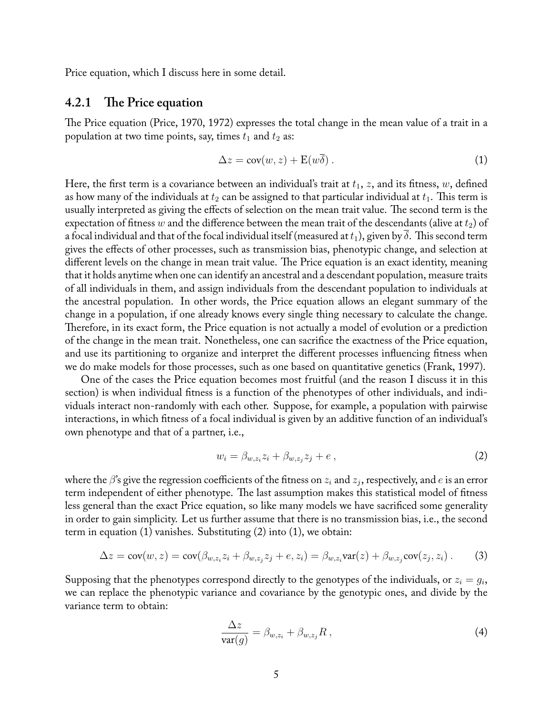Price equation, which I discuss here in some detail.

#### **4.2.1 The Price equation**

The Price equation (Price, 1970, 1972) expresses the total change in the mean value of a trait in a population at two time points, say, times  $t_1$  and  $t_2$  as:

$$
\Delta z = \text{cov}(w, z) + \mathbf{E}(w\overline{\delta}). \tag{1}
$$

Here, the first term is a covariance between an individual's trait at  $t_1$ ,  $z$ , and its fitness,  $w$ , defined as how many of the individuals at  $t_2$  can be assigned to that particular individual at  $t_1$ . This term is usually interpreted as giving the effects of selection on the mean trait value. The second term is the expectation of fitness *w* and the difference between the mean trait of the descendants (alive at  $t_2$ ) of a focal individual and that of the focal individual itself (measured at  $t_1$ ), given by  $\delta$ . This second term gives the effects of other processes, such as transmission bias, phenotypic change, and selection at different levels on the change in mean trait value. The Price equation is an exact identity, meaning that it holds anytime when one can identify an ancestral and a descendant population, measure traits of all individuals in them, and assign individuals from the descendant population to individuals at the ancestral population. In other words, the Price equation allows an elegant summary of the change in a population, if one already knows every single thing necessary to calculate the change. Therefore, in its exact form, the Price equation is not actually a model of evolution or a prediction of the change in the mean trait. Nonetheless, one can sacrifice the exactness of the Price equation, and use its partitioning to organize and interpret the different processes influencing fitness when we do make models for those processes, such as one based on quantitative genetics (Frank, 1997).

One of the cases the Price equation becomes most fruitful (and the reason I discuss it in this section) is when individual fitness is a function of the phenotypes of other individuals, and individuals interact non-randomly with each other. Suppose, for example, a population with pairwise interactions, in which fitness of a focal individual is given by an additive function of an individual's own phenotype and that of a partner, i.e.,

$$
w_i = \beta_{w,z_i} z_i + \beta_{w,z_j} z_j + e \,, \tag{2}
$$

where the *β*'s give the regression coefficients of the fitness on *z<sup>i</sup>* and *z<sup>j</sup>* , respectively, and *e* is an error term independent of either phenotype. The last assumption makes this statistical model of fitness less general than the exact Price equation, so like many models we have sacrificed some generality in order to gain simplicity. Let us further assume that there is no transmission bias, i.e., the second term in equation  $(1)$  vanishes. Substituting  $(2)$  into  $(1)$ , we obtain:

$$
\Delta z = \text{cov}(w, z) = \text{cov}(\beta_{w, z_i} z_i + \beta_{w, z_j} z_j + e, z_i) = \beta_{w, z_i} \text{var}(z) + \beta_{w, z_j} \text{cov}(z_j, z_i). \tag{3}
$$

Supposing that the phenotypes correspond directly to the genotypes of the individuals, or  $z_i = g_i$ , we can replace the phenotypic variance and covariance by the genotypic ones, and divide by the variance term to obtain:

$$
\frac{\Delta z}{\text{var}(g)} = \beta_{w,z_i} + \beta_{w,z_j} R , \qquad (4)
$$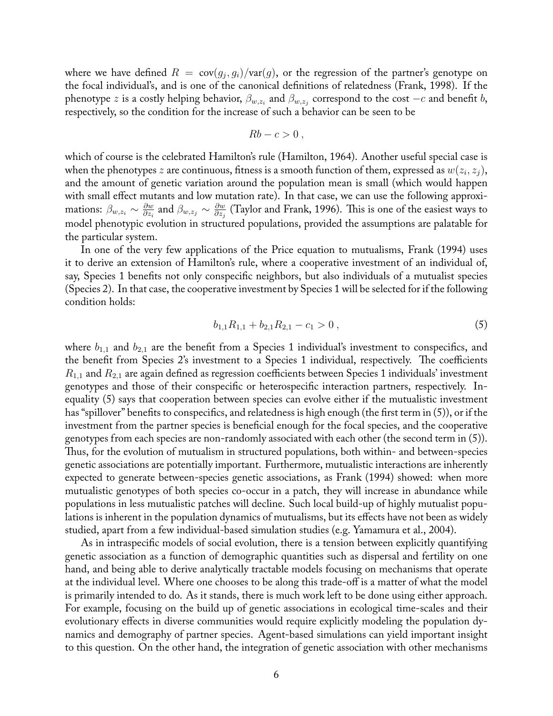where we have defined  $R = \text{cov}(g_j, g_i) / \text{var}(g)$ , or the regression of the partner's genotype on the focal individual's, and is one of the canonical definitions of relatedness (Frank, 1998). If the phenotype *z* is a costly helping behavior,  $\beta_{w,z_i}$  and  $\beta_{w,z_j}$  correspond to the cost  $-c$  and benefit *b*, respectively, so the condition for the increase of such a behavior can be seen to be

$$
Rb-c>0,
$$

which of course is the celebrated Hamilton's rule (Hamilton, 1964). Another useful special case is when the phenotypes  $z$  are continuous, fitness is a smooth function of them, expressed as  $w(z_i, z_j),$ and the amount of genetic variation around the population mean is small (which would happen with small effect mutants and low mutation rate). In that case, we can use the following approximations:  $\beta_{w,z_i} \sim \frac{\partial w}{\partial z_i}$  $\frac{\partial w}{\partial z_i}$  and  $\beta_{w,z_j} \sim \frac{\partial w}{\partial z_j}$ *∂z<sup>j</sup>* (Taylor and Frank, 1996). This is one of the easiest ways to model phenotypic evolution in structured populations, provided the assumptions are palatable for the particular system.

In one of the very few applications of the Price equation to mutualisms, Frank (1994) uses it to derive an extension of Hamilton's rule, where a cooperative investment of an individual of, say, Species 1 benefits not only conspecific neighbors, but also individuals of a mutualist species (Species 2). In that case, the cooperative investment by Species 1 will be selected for if the following condition holds:

$$
b_{1,1}R_{1,1} + b_{2,1}R_{2,1} - c_1 > 0, \qquad (5)
$$

where  $b_{1,1}$  and  $b_{2,1}$  are the benefit from a Species 1 individual's investment to conspecifics, and the benefit from Species 2's investment to a Species 1 individual, respectively. The coefficients *R*1*,*<sup>1</sup> and *R*2*,*<sup>1</sup> are again defined as regression coefficients between Species 1 individuals' investment genotypes and those of their conspecific or heterospecific interaction partners, respectively. Inequality (5) says that cooperation between species can evolve either if the mutualistic investment has "spillover" benefits to conspecifics, and relatedness is high enough (the first term in (5)), or if the investment from the partner species is beneficial enough for the focal species, and the cooperative genotypes from each species are non-randomly associated with each other (the second term in (5)). Thus, for the evolution of mutualism in structured populations, both within- and between-species genetic associations are potentially important. Furthermore, mutualistic interactions are inherently expected to generate between-species genetic associations, as Frank (1994) showed: when more mutualistic genotypes of both species co-occur in a patch, they will increase in abundance while populations in less mutualistic patches will decline. Such local build-up of highly mutualist populations is inherent in the population dynamics of mutualisms, but its effects have not been as widely studied, apart from a few individual-based simulation studies (e.g. Yamamura et al., 2004).

As in intraspecific models of social evolution, there is a tension between explicitly quantifying genetic association as a function of demographic quantities such as dispersal and fertility on one hand, and being able to derive analytically tractable models focusing on mechanisms that operate at the individual level. Where one chooses to be along this trade-off is a matter of what the model is primarily intended to do. As it stands, there is much work left to be done using either approach. For example, focusing on the build up of genetic associations in ecological time-scales and their evolutionary effects in diverse communities would require explicitly modeling the population dynamics and demography of partner species. Agent-based simulations can yield important insight to this question. On the other hand, the integration of genetic association with other mechanisms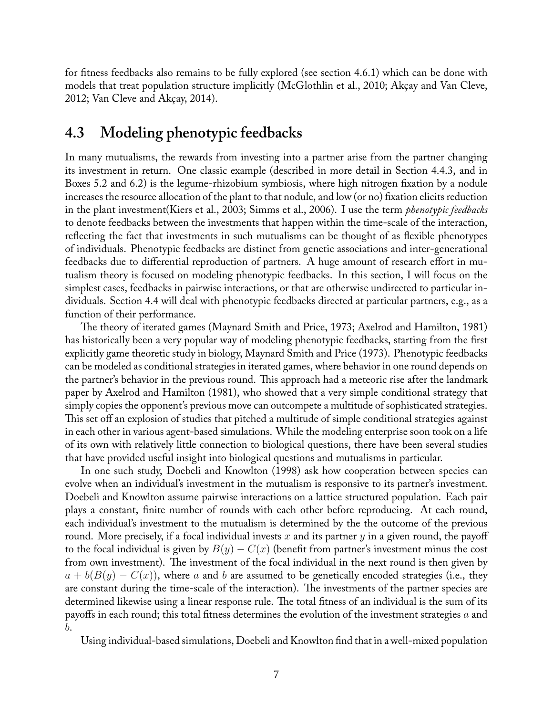for fitness feedbacks also remains to be fully explored (see section 4.6.1) which can be done with models that treat population structure implicitly (McGlothlin et al., 2010; Akçay and Van Cleve, 2012; Van Cleve and Akçay, 2014).

## **4.3 Modeling phenotypic feedbacks**

In many mutualisms, the rewards from investing into a partner arise from the partner changing its investment in return. One classic example (described in more detail in Section 4.4.3, and in Boxes 5.2 and 6.2) is the legume-rhizobium symbiosis, where high nitrogen fixation by a nodule increases the resource allocation of the plant to that nodule, and low (or no) fixation elicits reduction in the plant investment(Kiers et al., 2003; Simms et al., 2006). I use the term *phenotypic feedbacks* to denote feedbacks between the investments that happen within the time-scale of the interaction, reflecting the fact that investments in such mutualisms can be thought of as flexible phenotypes of individuals. Phenotypic feedbacks are distinct from genetic associations and inter-generational feedbacks due to differential reproduction of partners. A huge amount of research effort in mutualism theory is focused on modeling phenotypic feedbacks. In this section, I will focus on the simplest cases, feedbacks in pairwise interactions, or that are otherwise undirected to particular individuals. Section 4.4 will deal with phenotypic feedbacks directed at particular partners, e.g., as a function of their performance.

The theory of iterated games (Maynard Smith and Price, 1973; Axelrod and Hamilton, 1981) has historically been a very popular way of modeling phenotypic feedbacks, starting from the first explicitly game theoretic study in biology, Maynard Smith and Price (1973). Phenotypic feedbacks can be modeled as conditional strategies in iterated games, where behavior in one round depends on the partner's behavior in the previous round. This approach had a meteoric rise after the landmark paper by Axelrod and Hamilton (1981), who showed that a very simple conditional strategy that simply copies the opponent's previous move can outcompete a multitude of sophisticated strategies. This set off an explosion of studies that pitched a multitude of simple conditional strategies against in each other in various agent-based simulations. While the modeling enterprise soon took on a life of its own with relatively little connection to biological questions, there have been several studies that have provided useful insight into biological questions and mutualisms in particular.

In one such study, Doebeli and Knowlton (1998) ask how cooperation between species can evolve when an individual's investment in the mutualism is responsive to its partner's investment. Doebeli and Knowlton assume pairwise interactions on a lattice structured population. Each pair plays a constant, finite number of rounds with each other before reproducing. At each round, each individual's investment to the mutualism is determined by the the outcome of the previous round. More precisely, if a focal individual invests *x* and its partner *y* in a given round, the payoff to the focal individual is given by  $B(y) - C(x)$  (benefit from partner's investment minus the cost from own investment). The investment of the focal individual in the next round is then given by  $a + b(B(y) - C(x))$ , where *a* and *b* are assumed to be genetically encoded strategies (i.e., they are constant during the time-scale of the interaction). The investments of the partner species are determined likewise using a linear response rule. The total fitness of an individual is the sum of its payoffs in each round; this total fitness determines the evolution of the investment strategies *a* and *b*.

Using individual-based simulations, Doebeli and Knowlton find that in a well-mixed population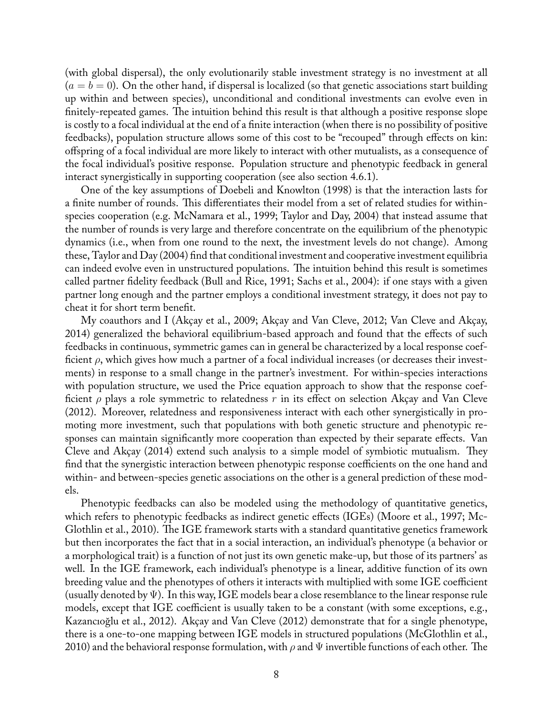(with global dispersal), the only evolutionarily stable investment strategy is no investment at all  $(a = b = 0)$ . On the other hand, if dispersal is localized (so that genetic associations start building up within and between species), unconditional and conditional investments can evolve even in finitely-repeated games. The intuition behind this result is that although a positive response slope is costly to a focal individual at the end of a finite interaction (when there is no possibility of positive feedbacks), population structure allows some of this cost to be "recouped" through effects on kin: offspring of a focal individual are more likely to interact with other mutualists, as a consequence of the focal individual's positive response. Population structure and phenotypic feedback in general interact synergistically in supporting cooperation (see also section 4.6.1).

One of the key assumptions of Doebeli and Knowlton (1998) is that the interaction lasts for a finite number of rounds. This differentiates their model from a set of related studies for withinspecies cooperation (e.g. McNamara et al., 1999; Taylor and Day, 2004) that instead assume that the number of rounds is very large and therefore concentrate on the equilibrium of the phenotypic dynamics (i.e., when from one round to the next, the investment levels do not change). Among these, Taylor and Day (2004) find that conditional investment and cooperative investment equilibria can indeed evolve even in unstructured populations. The intuition behind this result is sometimes called partner fidelity feedback (Bull and Rice, 1991; Sachs et al., 2004): if one stays with a given partner long enough and the partner employs a conditional investment strategy, it does not pay to cheat it for short term benefit.

My coauthors and I (Akçay et al., 2009; Akçay and Van Cleve, 2012; Van Cleve and Akçay, 2014) generalized the behavioral equilibrium-based approach and found that the effects of such feedbacks in continuous, symmetric games can in general be characterized by a local response coefficient *ρ*, which gives how much a partner of a focal individual increases (or decreases their investments) in response to a small change in the partner's investment. For within-species interactions with population structure, we used the Price equation approach to show that the response coefficient *ρ* plays a role symmetric to relatedness *r* in its effect on selection Akçay and Van Cleve (2012). Moreover, relatedness and responsiveness interact with each other synergistically in promoting more investment, such that populations with both genetic structure and phenotypic responses can maintain significantly more cooperation than expected by their separate effects. Van Cleve and Akçay (2014) extend such analysis to a simple model of symbiotic mutualism. They find that the synergistic interaction between phenotypic response coefficients on the one hand and within- and between-species genetic associations on the other is a general prediction of these models.

Phenotypic feedbacks can also be modeled using the methodology of quantitative genetics, which refers to phenotypic feedbacks as indirect genetic effects (IGEs) (Moore et al., 1997; Mc-Glothlin et al., 2010). The IGE framework starts with a standard quantitative genetics framework but then incorporates the fact that in a social interaction, an individual's phenotype (a behavior or a morphological trait) is a function of not just its own genetic make-up, but those of its partners' as well. In the IGE framework, each individual's phenotype is a linear, additive function of its own breeding value and the phenotypes of others it interacts with multiplied with some IGE coefficient (usually denoted by  $\Psi$ ). In this way, IGE models bear a close resemblance to the linear response rule models, except that IGE coefficient is usually taken to be a constant (with some exceptions, e.g., Kazancıoğlu et al., 2012). Akçay and Van Cleve (2012) demonstrate that for a single phenotype, there is a one-to-one mapping between IGE models in structured populations (McGlothlin et al., 2010) and the behavioral response formulation, with *ρ* and Ψ invertible functions of each other. The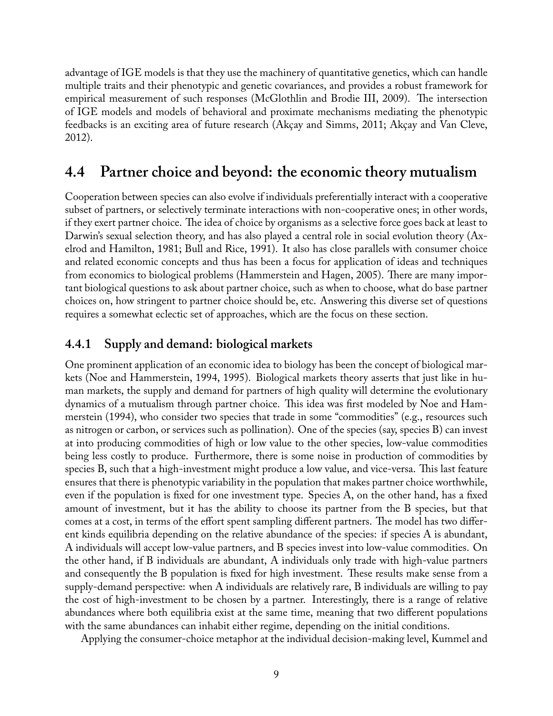advantage of IGE models is that they use the machinery of quantitative genetics, which can handle multiple traits and their phenotypic and genetic covariances, and provides a robust framework for empirical measurement of such responses (McGlothlin and Brodie III, 2009). The intersection of IGE models and models of behavioral and proximate mechanisms mediating the phenotypic feedbacks is an exciting area of future research (Akçay and Simms, 2011; Akçay and Van Cleve, 2012).

## **4.4 Partner choice and beyond: the economic theory mutualism**

Cooperation between species can also evolve if individuals preferentially interact with a cooperative subset of partners, or selectively terminate interactions with non-cooperative ones; in other words, if they exert partner choice. The idea of choice by organisms as a selective force goes back at least to Darwin's sexual selection theory, and has also played a central role in social evolution theory (Axelrod and Hamilton, 1981; Bull and Rice, 1991). It also has close parallels with consumer choice and related economic concepts and thus has been a focus for application of ideas and techniques from economics to biological problems (Hammerstein and Hagen, 2005). There are many important biological questions to ask about partner choice, such as when to choose, what do base partner choices on, how stringent to partner choice should be, etc. Answering this diverse set of questions requires a somewhat eclectic set of approaches, which are the focus on these section.

### **4.4.1 Supply and demand: biological markets**

One prominent application of an economic idea to biology has been the concept of biological markets (Noe and Hammerstein, 1994, 1995). Biological markets theory asserts that just like in human markets, the supply and demand for partners of high quality will determine the evolutionary dynamics of a mutualism through partner choice. This idea was first modeled by Noe and Hammerstein (1994), who consider two species that trade in some "commodities" (e.g., resources such as nitrogen or carbon, or services such as pollination). One of the species (say, species B) can invest at into producing commodities of high or low value to the other species, low-value commodities being less costly to produce. Furthermore, there is some noise in production of commodities by species B, such that a high-investment might produce a low value, and vice-versa. This last feature ensures that there is phenotypic variability in the population that makes partner choice worthwhile, even if the population is fixed for one investment type. Species A, on the other hand, has a fixed amount of investment, but it has the ability to choose its partner from the B species, but that comes at a cost, in terms of the effort spent sampling different partners. The model has two different kinds equilibria depending on the relative abundance of the species: if species A is abundant, A individuals will accept low-value partners, and B species invest into low-value commodities. On the other hand, if B individuals are abundant, A individuals only trade with high-value partners and consequently the B population is fixed for high investment. These results make sense from a supply-demand perspective: when A individuals are relatively rare, B individuals are willing to pay the cost of high-investment to be chosen by a partner. Interestingly, there is a range of relative abundances where both equilibria exist at the same time, meaning that two different populations with the same abundances can inhabit either regime, depending on the initial conditions.

Applying the consumer-choice metaphor at the individual decision-making level, Kummel and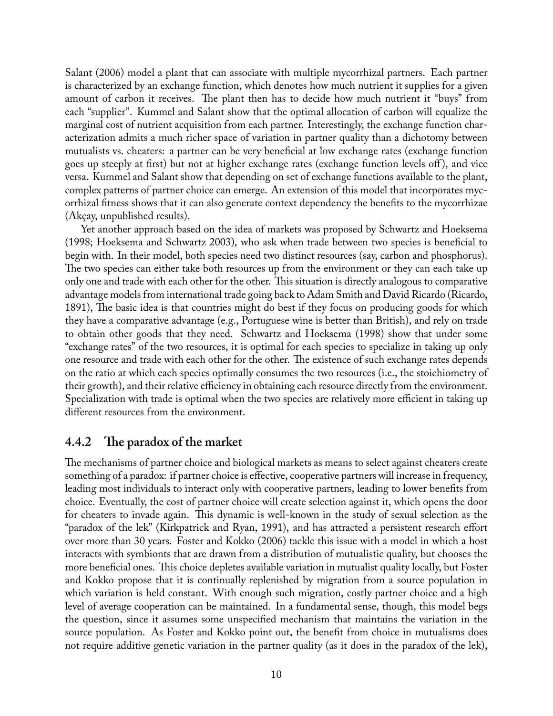Salant (2006) model a plant that can associate with multiple mycorrhizal partners. Each partner is characterized by an exchange function, which denotes how much nutrient it supplies for a given amount of carbon it receives. The plant then has to decide how much nutrient it "buys" from each "supplier". Kummel and Salant show that the optimal allocation of carbon will equalize the marginal cost of nutrient acquisition from each partner. Interestingly, the exchange function characterization admits a much richer space of variation in partner quality than a dichotomy between mutualists vs. cheaters: a partner can be very beneficial at low exchange rates (exchange function goes up steeply at first) but not at higher exchange rates (exchange function levels off ), and vice versa. Kummel and Salant show that depending on set of exchange functions available to the plant, complex patterns of partner choice can emerge. An extension of this model that incorporates mycorrhizal fitness shows that it can also generate context dependency the benefits to the mycorrhizae (Akçay, unpublished results).

Yet another approach based on the idea of markets was proposed by Schwartz and Hoeksema (1998; Hoeksema and Schwartz 2003), who ask when trade between two species is beneficial to begin with. In their model, both species need two distinct resources (say, carbon and phosphorus). The two species can either take both resources up from the environment or they can each take up only one and trade with each other for the other. This situation is directly analogous to comparative advantage models from international trade going back to Adam Smith and David Ricardo (Ricardo, 1891), The basic idea is that countries might do best if they focus on producing goods for which they have a comparative advantage (e.g., Portuguese wine is better than British), and rely on trade to obtain other goods that they need. Schwartz and Hoeksema (1998) show that under some "exchange rates" of the two resources, it is optimal for each species to specialize in taking up only one resource and trade with each other for the other. The existence of such exchange rates depends on the ratio at which each species optimally consumes the two resources (i.e., the stoichiometry of their growth), and their relative efficiency in obtaining each resource directly from the environment. Specialization with trade is optimal when the two species are relatively more efficient in taking up different resources from the environment.

#### **4.4.2 The paradox of the market**

The mechanisms of partner choice and biological markets as means to select against cheaters create something of a paradox: if partner choice is effective, cooperative partners will increase in frequency, leading most individuals to interact only with cooperative partners, leading to lower benefits from choice. Eventually, the cost of partner choice will create selection against it, which opens the door for cheaters to invade again. This dynamic is well-known in the study of sexual selection as the "paradox of the lek" (Kirkpatrick and Ryan, 1991), and has attracted a persistent research effort over more than 30 years. Foster and Kokko (2006) tackle this issue with a model in which a host interacts with symbionts that are drawn from a distribution of mutualistic quality, but chooses the more beneficial ones. This choice depletes available variation in mutualist quality locally, but Foster and Kokko propose that it is continually replenished by migration from a source population in which variation is held constant. With enough such migration, costly partner choice and a high level of average cooperation can be maintained. In a fundamental sense, though, this model begs the question, since it assumes some unspecified mechanism that maintains the variation in the source population. As Foster and Kokko point out, the benefit from choice in mutualisms does not require additive genetic variation in the partner quality (as it does in the paradox of the lek),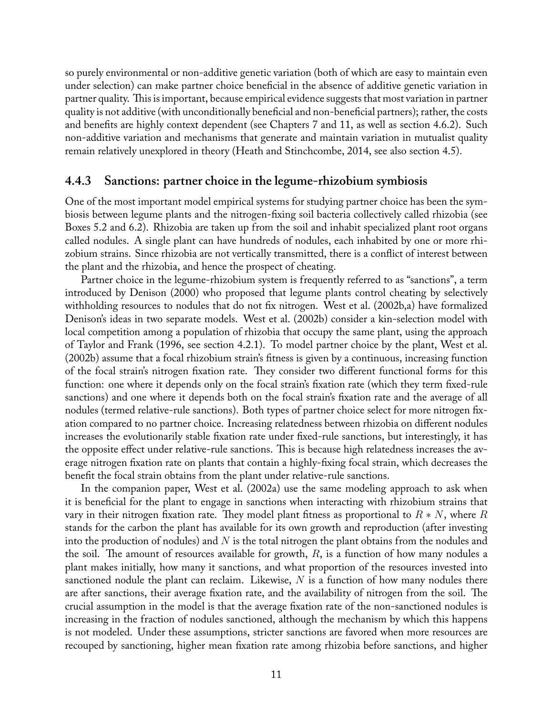so purely environmental or non-additive genetic variation (both of which are easy to maintain even under selection) can make partner choice beneficial in the absence of additive genetic variation in partner quality. This is important, because empirical evidence suggests that most variation in partner quality is not additive (with unconditionally beneficial and non-beneficial partners); rather, the costs and benefits are highly context dependent (see Chapters 7 and 11, as well as section 4.6.2). Such non-additive variation and mechanisms that generate and maintain variation in mutualist quality remain relatively unexplored in theory (Heath and Stinchcombe, 2014, see also section 4.5).

#### **4.4.3 Sanctions: partner choice in the legume-rhizobium symbiosis**

One of the most important model empirical systems for studying partner choice has been the symbiosis between legume plants and the nitrogen-fixing soil bacteria collectively called rhizobia (see Boxes 5.2 and 6.2). Rhizobia are taken up from the soil and inhabit specialized plant root organs called nodules. A single plant can have hundreds of nodules, each inhabited by one or more rhizobium strains. Since rhizobia are not vertically transmitted, there is a conflict of interest between the plant and the rhizobia, and hence the prospect of cheating.

Partner choice in the legume-rhizobium system is frequently referred to as "sanctions", a term introduced by Denison (2000) who proposed that legume plants control cheating by selectively withholding resources to nodules that do not fix nitrogen. West et al. (2002b,a) have formalized Denison's ideas in two separate models. West et al. (2002b) consider a kin-selection model with local competition among a population of rhizobia that occupy the same plant, using the approach of Taylor and Frank (1996, see section 4.2.1). To model partner choice by the plant, West et al. (2002b) assume that a focal rhizobium strain's fitness is given by a continuous, increasing function of the focal strain's nitrogen fixation rate. They consider two different functional forms for this function: one where it depends only on the focal strain's fixation rate (which they term fixed-rule sanctions) and one where it depends both on the focal strain's fixation rate and the average of all nodules (termed relative-rule sanctions). Both types of partner choice select for more nitrogen fixation compared to no partner choice. Increasing relatedness between rhizobia on different nodules increases the evolutionarily stable fixation rate under fixed-rule sanctions, but interestingly, it has the opposite effect under relative-rule sanctions. This is because high relatedness increases the average nitrogen fixation rate on plants that contain a highly-fixing focal strain, which decreases the benefit the focal strain obtains from the plant under relative-rule sanctions.

In the companion paper, West et al. (2002a) use the same modeling approach to ask when it is beneficial for the plant to engage in sanctions when interacting with rhizobium strains that vary in their nitrogen fixation rate. They model plant fitness as proportional to *R ∗ N*, where *R* stands for the carbon the plant has available for its own growth and reproduction (after investing into the production of nodules) and *N* is the total nitrogen the plant obtains from the nodules and the soil. The amount of resources available for growth, *R*, is a function of how many nodules a plant makes initially, how many it sanctions, and what proportion of the resources invested into sanctioned nodule the plant can reclaim. Likewise, *N* is a function of how many nodules there are after sanctions, their average fixation rate, and the availability of nitrogen from the soil. The crucial assumption in the model is that the average fixation rate of the non-sanctioned nodules is increasing in the fraction of nodules sanctioned, although the mechanism by which this happens is not modeled. Under these assumptions, stricter sanctions are favored when more resources are recouped by sanctioning, higher mean fixation rate among rhizobia before sanctions, and higher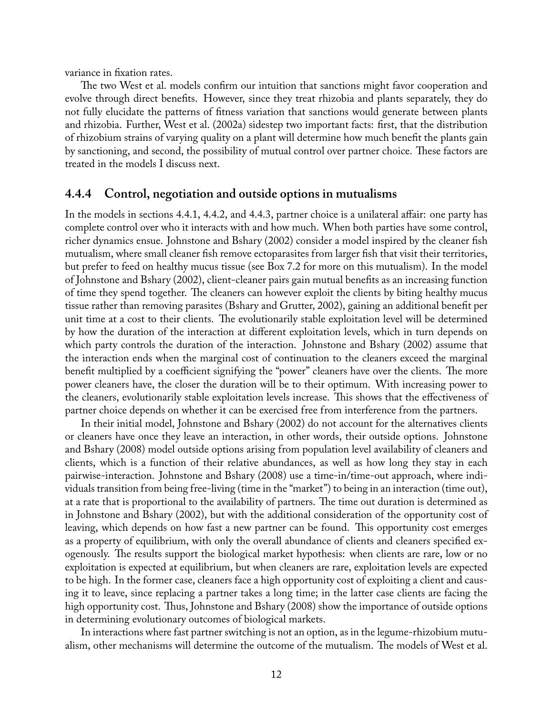variance in fixation rates.

The two West et al. models confirm our intuition that sanctions might favor cooperation and evolve through direct benefits. However, since they treat rhizobia and plants separately, they do not fully elucidate the patterns of fitness variation that sanctions would generate between plants and rhizobia. Further, West et al. (2002a) sidestep two important facts: first, that the distribution of rhizobium strains of varying quality on a plant will determine how much benefit the plants gain by sanctioning, and second, the possibility of mutual control over partner choice. These factors are treated in the models I discuss next.

#### **4.4.4 Control, negotiation and outside options in mutualisms**

In the models in sections 4.4.1, 4.4.2, and 4.4.3, partner choice is a unilateral affair: one party has complete control over who it interacts with and how much. When both parties have some control, richer dynamics ensue. Johnstone and Bshary (2002) consider a model inspired by the cleaner fish mutualism, where small cleaner fish remove ectoparasites from larger fish that visit their territories, but prefer to feed on healthy mucus tissue (see Box 7.2 for more on this mutualism). In the model of Johnstone and Bshary (2002), client-cleaner pairs gain mutual benefits as an increasing function of time they spend together. The cleaners can however exploit the clients by biting healthy mucus tissue rather than removing parasites (Bshary and Grutter, 2002), gaining an additional benefit per unit time at a cost to their clients. The evolutionarily stable exploitation level will be determined by how the duration of the interaction at different exploitation levels, which in turn depends on which party controls the duration of the interaction. Johnstone and Bshary (2002) assume that the interaction ends when the marginal cost of continuation to the cleaners exceed the marginal benefit multiplied by a coefficient signifying the "power" cleaners have over the clients. The more power cleaners have, the closer the duration will be to their optimum. With increasing power to the cleaners, evolutionarily stable exploitation levels increase. This shows that the effectiveness of partner choice depends on whether it can be exercised free from interference from the partners.

In their initial model, Johnstone and Bshary (2002) do not account for the alternatives clients or cleaners have once they leave an interaction, in other words, their outside options. Johnstone and Bshary (2008) model outside options arising from population level availability of cleaners and clients, which is a function of their relative abundances, as well as how long they stay in each pairwise-interaction. Johnstone and Bshary (2008) use a time-in/time-out approach, where individuals transition from being free-living (time in the "market") to being in an interaction (time out), at a rate that is proportional to the availability of partners. The time out duration is determined as in Johnstone and Bshary (2002), but with the additional consideration of the opportunity cost of leaving, which depends on how fast a new partner can be found. This opportunity cost emerges as a property of equilibrium, with only the overall abundance of clients and cleaners specified exogenously. The results support the biological market hypothesis: when clients are rare, low or no exploitation is expected at equilibrium, but when cleaners are rare, exploitation levels are expected to be high. In the former case, cleaners face a high opportunity cost of exploiting a client and causing it to leave, since replacing a partner takes a long time; in the latter case clients are facing the high opportunity cost. Thus, Johnstone and Bshary (2008) show the importance of outside options in determining evolutionary outcomes of biological markets.

In interactions where fast partner switching is not an option, as in the legume-rhizobium mutualism, other mechanisms will determine the outcome of the mutualism. The models of West et al.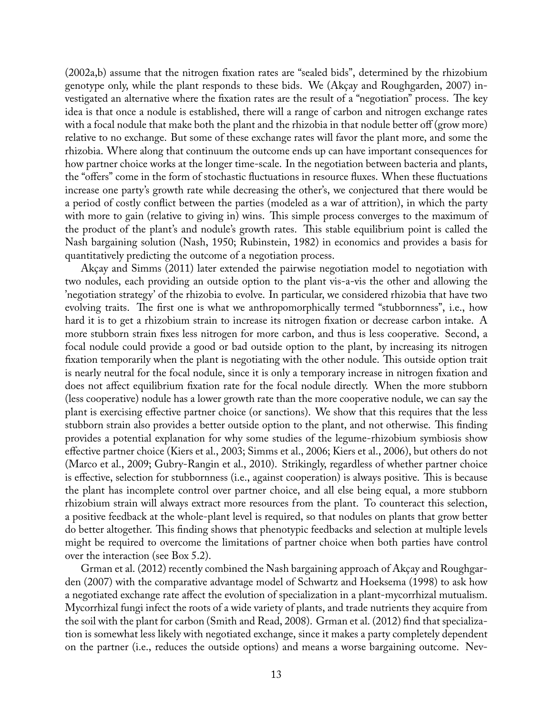(2002a,b) assume that the nitrogen fixation rates are "sealed bids", determined by the rhizobium genotype only, while the plant responds to these bids. We (Akçay and Roughgarden, 2007) investigated an alternative where the fixation rates are the result of a "negotiation" process. The key idea is that once a nodule is established, there will a range of carbon and nitrogen exchange rates with a focal nodule that make both the plant and the rhizobia in that nodule better off (grow more) relative to no exchange. But some of these exchange rates will favor the plant more, and some the rhizobia. Where along that continuum the outcome ends up can have important consequences for how partner choice works at the longer time-scale. In the negotiation between bacteria and plants, the "offers" come in the form of stochastic fluctuations in resource fluxes. When these fluctuations increase one party's growth rate while decreasing the other's, we conjectured that there would be a period of costly conflict between the parties (modeled as a war of attrition), in which the party with more to gain (relative to giving in) wins. This simple process converges to the maximum of the product of the plant's and nodule's growth rates. This stable equilibrium point is called the Nash bargaining solution (Nash, 1950; Rubinstein, 1982) in economics and provides a basis for quantitatively predicting the outcome of a negotiation process.

Akçay and Simms (2011) later extended the pairwise negotiation model to negotiation with two nodules, each providing an outside option to the plant vis-a-vis the other and allowing the 'negotiation strategy' of the rhizobia to evolve. In particular, we considered rhizobia that have two evolving traits. The first one is what we anthropomorphically termed "stubbornness", i.e., how hard it is to get a rhizobium strain to increase its nitrogen fixation or decrease carbon intake. A more stubborn strain fixes less nitrogen for more carbon, and thus is less cooperative. Second, a focal nodule could provide a good or bad outside option to the plant, by increasing its nitrogen fixation temporarily when the plant is negotiating with the other nodule. This outside option trait is nearly neutral for the focal nodule, since it is only a temporary increase in nitrogen fixation and does not affect equilibrium fixation rate for the focal nodule directly. When the more stubborn (less cooperative) nodule has a lower growth rate than the more cooperative nodule, we can say the plant is exercising effective partner choice (or sanctions). We show that this requires that the less stubborn strain also provides a better outside option to the plant, and not otherwise. This finding provides a potential explanation for why some studies of the legume-rhizobium symbiosis show effective partner choice (Kiers et al., 2003; Simms et al., 2006; Kiers et al., 2006), but others do not (Marco et al., 2009; Gubry-Rangin et al., 2010). Strikingly, regardless of whether partner choice is effective, selection for stubbornness (i.e., against cooperation) is always positive. This is because the plant has incomplete control over partner choice, and all else being equal, a more stubborn rhizobium strain will always extract more resources from the plant. To counteract this selection, a positive feedback at the whole-plant level is required, so that nodules on plants that grow better do better altogether. This finding shows that phenotypic feedbacks and selection at multiple levels might be required to overcome the limitations of partner choice when both parties have control over the interaction (see Box 5.2).

Grman et al. (2012) recently combined the Nash bargaining approach of Akçay and Roughgarden (2007) with the comparative advantage model of Schwartz and Hoeksema (1998) to ask how a negotiated exchange rate affect the evolution of specialization in a plant-mycorrhizal mutualism. Mycorrhizal fungi infect the roots of a wide variety of plants, and trade nutrients they acquire from the soil with the plant for carbon (Smith and Read, 2008). Grman et al. (2012) find that specialization is somewhat less likely with negotiated exchange, since it makes a party completely dependent on the partner (i.e., reduces the outside options) and means a worse bargaining outcome. Nev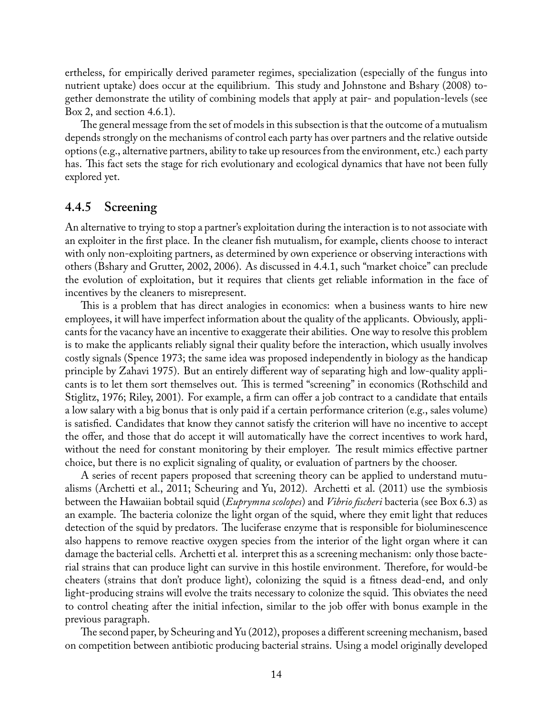ertheless, for empirically derived parameter regimes, specialization (especially of the fungus into nutrient uptake) does occur at the equilibrium. This study and Johnstone and Bshary (2008) together demonstrate the utility of combining models that apply at pair- and population-levels (see Box 2, and section 4.6.1).

The general message from the set of models in this subsection is that the outcome of a mutualism depends strongly on the mechanisms of control each party has over partners and the relative outside options (e.g., alternative partners, ability to take up resources from the environment, etc.) each party has. This fact sets the stage for rich evolutionary and ecological dynamics that have not been fully explored yet.

#### **4.4.5 Screening**

An alternative to trying to stop a partner's exploitation during the interaction is to not associate with an exploiter in the first place. In the cleaner fish mutualism, for example, clients choose to interact with only non-exploiting partners, as determined by own experience or observing interactions with others (Bshary and Grutter, 2002, 2006). As discussed in 4.4.1, such "market choice" can preclude the evolution of exploitation, but it requires that clients get reliable information in the face of incentives by the cleaners to misrepresent.

This is a problem that has direct analogies in economics: when a business wants to hire new employees, it will have imperfect information about the quality of the applicants. Obviously, applicants for the vacancy have an incentive to exaggerate their abilities. One way to resolve this problem is to make the applicants reliably signal their quality before the interaction, which usually involves costly signals (Spence 1973; the same idea was proposed independently in biology as the handicap principle by Zahavi 1975). But an entirely different way of separating high and low-quality applicants is to let them sort themselves out. This is termed "screening" in economics (Rothschild and Stiglitz, 1976; Riley, 2001). For example, a firm can offer a job contract to a candidate that entails a low salary with a big bonus that is only paid if a certain performance criterion (e.g., sales volume) is satisfied. Candidates that know they cannot satisfy the criterion will have no incentive to accept the offer, and those that do accept it will automatically have the correct incentives to work hard, without the need for constant monitoring by their employer. The result mimics effective partner choice, but there is no explicit signaling of quality, or evaluation of partners by the chooser.

A series of recent papers proposed that screening theory can be applied to understand mutualisms (Archetti et al., 2011; Scheuring and Yu, 2012). Archetti et al. (2011) use the symbiosis between the Hawaiian bobtail squid (*Euprymna scolopes*) and *Vibrio fischeri* bacteria (see Box 6.3) as an example. The bacteria colonize the light organ of the squid, where they emit light that reduces detection of the squid by predators. The luciferase enzyme that is responsible for bioluminescence also happens to remove reactive oxygen species from the interior of the light organ where it can damage the bacterial cells. Archetti et al. interpret this as a screening mechanism: only those bacterial strains that can produce light can survive in this hostile environment. Therefore, for would-be cheaters (strains that don't produce light), colonizing the squid is a fitness dead-end, and only light-producing strains will evolve the traits necessary to colonize the squid. This obviates the need to control cheating after the initial infection, similar to the job offer with bonus example in the previous paragraph.

The second paper, by Scheuring and Yu (2012), proposes a different screening mechanism, based on competition between antibiotic producing bacterial strains. Using a model originally developed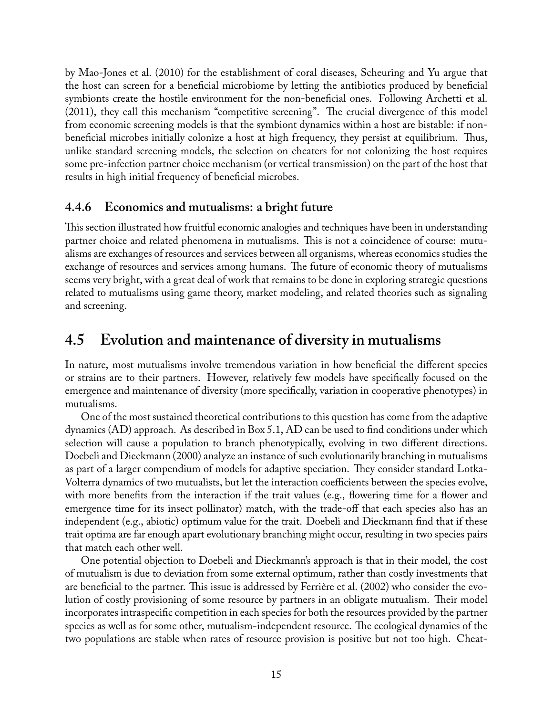by Mao-Jones et al. (2010) for the establishment of coral diseases, Scheuring and Yu argue that the host can screen for a beneficial microbiome by letting the antibiotics produced by beneficial symbionts create the hostile environment for the non-beneficial ones. Following Archetti et al. (2011), they call this mechanism "competitive screening". The crucial divergence of this model from economic screening models is that the symbiont dynamics within a host are bistable: if nonbeneficial microbes initially colonize a host at high frequency, they persist at equilibrium. Thus, unlike standard screening models, the selection on cheaters for not colonizing the host requires some pre-infection partner choice mechanism (or vertical transmission) on the part of the host that results in high initial frequency of beneficial microbes.

### **4.4.6 Economics and mutualisms: a bright future**

This section illustrated how fruitful economic analogies and techniques have been in understanding partner choice and related phenomena in mutualisms. This is not a coincidence of course: mutualisms are exchanges of resources and services between all organisms, whereas economics studies the exchange of resources and services among humans. The future of economic theory of mutualisms seems very bright, with a great deal of work that remains to be done in exploring strategic questions related to mutualisms using game theory, market modeling, and related theories such as signaling and screening.

## **4.5 Evolution and maintenance of diversity in mutualisms**

In nature, most mutualisms involve tremendous variation in how beneficial the different species or strains are to their partners. However, relatively few models have specifically focused on the emergence and maintenance of diversity (more specifically, variation in cooperative phenotypes) in mutualisms.

One of the most sustained theoretical contributions to this question has come from the adaptive dynamics (AD) approach. As described in Box 5.1, AD can be used to find conditions under which selection will cause a population to branch phenotypically, evolving in two different directions. Doebeli and Dieckmann (2000) analyze an instance of such evolutionarily branching in mutualisms as part of a larger compendium of models for adaptive speciation. They consider standard Lotka-Volterra dynamics of two mutualists, but let the interaction coefficients between the species evolve, with more benefits from the interaction if the trait values (e.g., flowering time for a flower and emergence time for its insect pollinator) match, with the trade-off that each species also has an independent (e.g., abiotic) optimum value for the trait. Doebeli and Dieckmann find that if these trait optima are far enough apart evolutionary branching might occur, resulting in two species pairs that match each other well.

One potential objection to Doebeli and Dieckmann's approach is that in their model, the cost of mutualism is due to deviation from some external optimum, rather than costly investments that are beneficial to the partner. This issue is addressed by Ferrière et al. (2002) who consider the evolution of costly provisioning of some resource by partners in an obligate mutualism. Their model incorporates intraspecific competition in each species for both the resources provided by the partner species as well as for some other, mutualism-independent resource. The ecological dynamics of the two populations are stable when rates of resource provision is positive but not too high. Cheat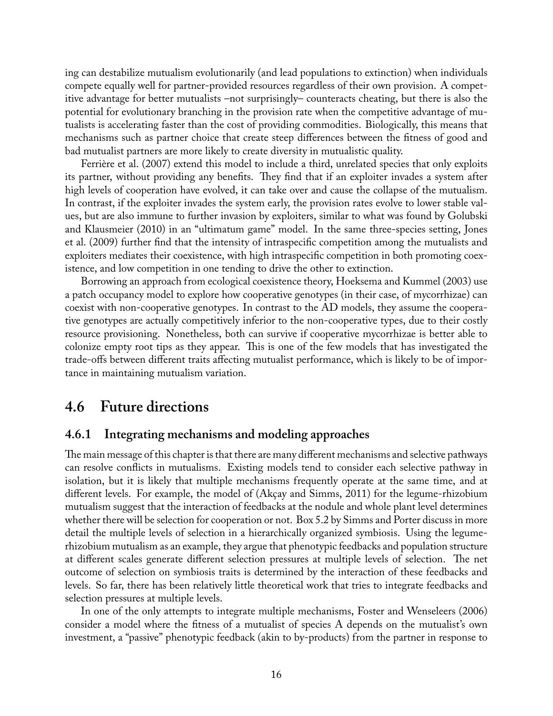ing can destabilize mutualism evolutionarily (and lead populations to extinction) when individuals compete equally well for partner-provided resources regardless of their own provision. A competitive advantage for better mutualists –not surprisingly– counteracts cheating, but there is also the potential for evolutionary branching in the provision rate when the competitive advantage of mutualists is accelerating faster than the cost of providing commodities. Biologically, this means that mechanisms such as partner choice that create steep differences between the fitness of good and bad mutualist partners are more likely to create diversity in mutualistic quality.

Ferrière et al. (2007) extend this model to include a third, unrelated species that only exploits its partner, without providing any benefits. They find that if an exploiter invades a system after high levels of cooperation have evolved, it can take over and cause the collapse of the mutualism. In contrast, if the exploiter invades the system early, the provision rates evolve to lower stable values, but are also immune to further invasion by exploiters, similar to what was found by Golubski and Klausmeier (2010) in an "ultimatum game" model. In the same three-species setting, Jones et al. (2009) further find that the intensity of intraspecific competition among the mutualists and exploiters mediates their coexistence, with high intraspecific competition in both promoting coexistence, and low competition in one tending to drive the other to extinction.

Borrowing an approach from ecological coexistence theory, Hoeksema and Kummel (2003) use a patch occupancy model to explore how cooperative genotypes (in their case, of mycorrhizae) can coexist with non-cooperative genotypes. In contrast to the AD models, they assume the cooperative genotypes are actually competitively inferior to the non-cooperative types, due to their costly resource provisioning. Nonetheless, both can survive if cooperative mycorrhizae is better able to colonize empty root tips as they appear. This is one of the few models that has investigated the trade-offs between different traits affecting mutualist performance, which is likely to be of importance in maintaining mutualism variation.

## **4.6 Future directions**

#### **4.6.1 Integrating mechanisms and modeling approaches**

The main message of this chapter is that there are many different mechanisms and selective pathways can resolve conflicts in mutualisms. Existing models tend to consider each selective pathway in isolation, but it is likely that multiple mechanisms frequently operate at the same time, and at different levels. For example, the model of (Akçay and Simms, 2011) for the legume-rhizobium mutualism suggest that the interaction of feedbacks at the nodule and whole plant level determines whether there will be selection for cooperation or not. Box 5.2 by Simms and Porter discuss in more detail the multiple levels of selection in a hierarchically organized symbiosis. Using the legumerhizobium mutualism as an example, they argue that phenotypic feedbacks and population structure at different scales generate different selection pressures at multiple levels of selection. The net outcome of selection on symbiosis traits is determined by the interaction of these feedbacks and levels. So far, there has been relatively little theoretical work that tries to integrate feedbacks and selection pressures at multiple levels.

In one of the only attempts to integrate multiple mechanisms, Foster and Wenseleers (2006) consider a model where the fitness of a mutualist of species A depends on the mutualist's own investment, a "passive" phenotypic feedback (akin to by-products) from the partner in response to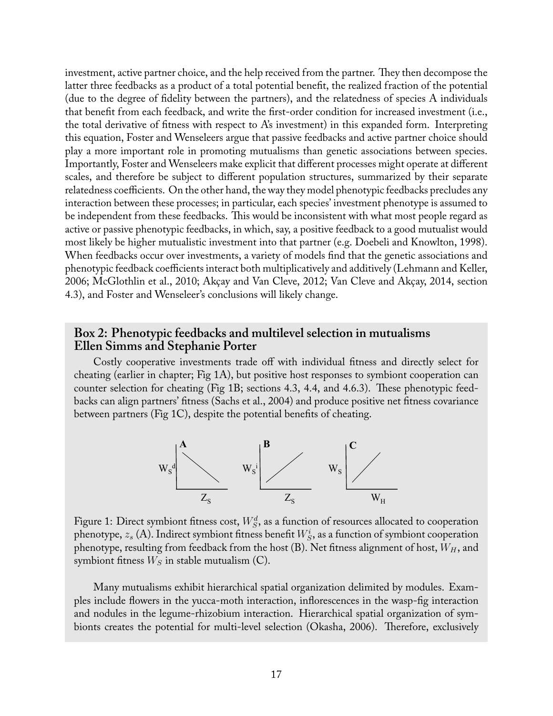investment, active partner choice, and the help received from the partner. They then decompose the latter three feedbacks as a product of a total potential benefit, the realized fraction of the potential (due to the degree of fidelity between the partners), and the relatedness of species A individuals that benefit from each feedback, and write the first-order condition for increased investment (i.e., the total derivative of fitness with respect to A's investment) in this expanded form. Interpreting this equation, Foster and Wenseleers argue that passive feedbacks and active partner choice should play a more important role in promoting mutualisms than genetic associations between species. Importantly, Foster and Wenseleers make explicit that different processes might operate at different scales, and therefore be subject to different population structures, summarized by their separate relatedness coefficients. On the other hand, the way they model phenotypic feedbacks precludes any interaction between these processes; in particular, each species' investment phenotype is assumed to be independent from these feedbacks. This would be inconsistent with what most people regard as active or passive phenotypic feedbacks, in which, say, a positive feedback to a good mutualist would most likely be higher mutualistic investment into that partner (e.g. Doebeli and Knowlton, 1998). When feedbacks occur over investments, a variety of models find that the genetic associations and phenotypic feedback coefficients interact both multiplicatively and additively (Lehmann and Keller, 2006; McGlothlin et al., 2010; Akçay and Van Cleve, 2012; Van Cleve and Akçay, 2014, section 4.3), and Foster and Wenseleer's conclusions will likely change.

#### **Box 2: Phenotypic feedbacks and multilevel selection in mutualisms Ellen Simms and Stephanie Porter**

Costly cooperative investments trade off with individual fitness and directly select for cheating (earlier in chapter; Fig 1A), but positive host responses to symbiont cooperation can counter selection for cheating (Fig 1B; sections 4.3, 4.4, and 4.6.3). These phenotypic feedbacks can align partners' fitness (Sachs et al., 2004) and produce positive net fitness covariance between partners (Fig 1C), despite the potential benefits of cheating.



Figure 1: Direct symbiont fitness cost,  $W^d_S$ , as a function of resources allocated to cooperation phenotype,  $z_{s}$  (A). Indirect symbiont fitness benefit  $W^{i}_{S}$ , as a function of symbiont cooperation phenotype, resulting from feedback from the host (B). Net fitness alignment of host, *WH*, and symbiont fitness  $W<sub>S</sub>$  in stable mutualism (C).

Many mutualisms exhibit hierarchical spatial organization delimited by modules. Examples include flowers in the yucca-moth interaction, inflorescences in the wasp-fig interaction and nodules in the legume-rhizobium interaction. Hierarchical spatial organization of symbionts creates the potential for multi-level selection (Okasha, 2006). Therefore, exclusively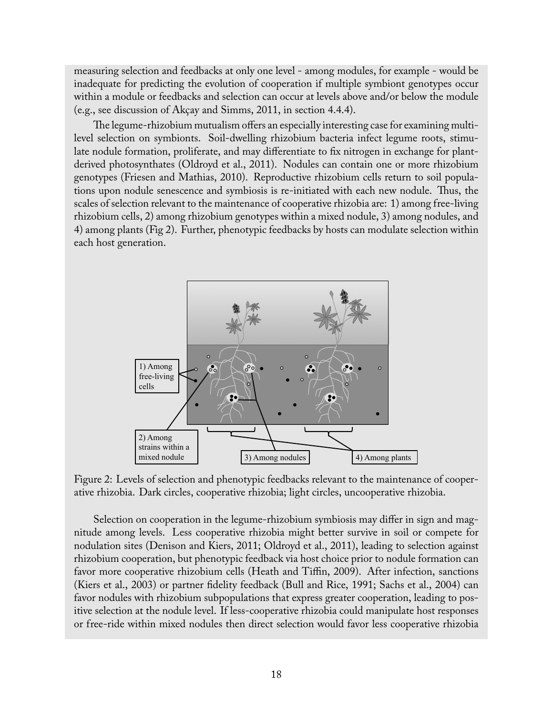measuring selection and feedbacks at only one level - among modules, for example - would be inadequate for predicting the evolution of cooperation if multiple symbiont genotypes occur within a module or feedbacks and selection can occur at levels above and/or below the module (e.g., see discussion of Akçay and Simms, 2011, in section 4.4.4).

The legume-rhizobium mutualism offers an especially interesting case for examining multilevel selection on symbionts. Soil-dwelling rhizobium bacteria infect legume roots, stimulate nodule formation, proliferate, and may differentiate to fix nitrogen in exchange for plantderived photosynthates (Oldroyd et al., 2011). Nodules can contain one or more rhizobium genotypes (Friesen and Mathias, 2010). Reproductive rhizobium cells return to soil populations upon nodule senescence and symbiosis is re-initiated with each new nodule. Thus, the scales of selection relevant to the maintenance of cooperative rhizobia are: 1) among free-living rhizobium cells, 2) among rhizobium genotypes within a mixed nodule, 3) among nodules, and 4) among plants (Fig 2). Further, phenotypic feedbacks by hosts can modulate selection within each host generation.



Figure 2: Levels of selection and phenotypic feedbacks relevant to the maintenance of cooperative rhizobia. Dark circles, cooperative rhizobia; light circles, uncooperative rhizobia.

Selection on cooperation in the legume-rhizobium symbiosis may differ in sign and magnitude among levels. Less cooperative rhizobia might better survive in soil or compete for nodulation sites (Denison and Kiers, 2011; Oldroyd et al., 2011), leading to selection against rhizobium cooperation, but phenotypic feedback via host choice prior to nodule formation can favor more cooperative rhizobium cells (Heath and Tiffin, 2009). After infection, sanctions (Kiers et al., 2003) or partner fidelity feedback (Bull and Rice, 1991; Sachs et al., 2004) can favor nodules with rhizobium subpopulations that express greater cooperation, leading to positive selection at the nodule level. If less-cooperative rhizobia could manipulate host responses or free-ride within mixed nodules then direct selection would favor less cooperative rhizobia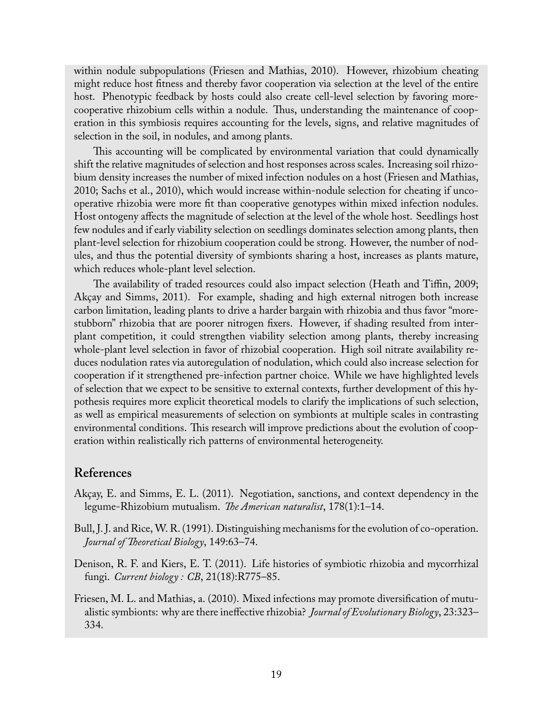within nodule subpopulations (Friesen and Mathias, 2010). However, rhizobium cheating might reduce host fitness and thereby favor cooperation via selection at the level of the entire host. Phenotypic feedback by hosts could also create cell-level selection by favoring morecooperative rhizobium cells within a nodule. Thus, understanding the maintenance of cooperation in this symbiosis requires accounting for the levels, signs, and relative magnitudes of selection in the soil, in nodules, and among plants.

This accounting will be complicated by environmental variation that could dynamically shift the relative magnitudes of selection and host responses across scales. Increasing soil rhizobium density increases the number of mixed infection nodules on a host (Friesen and Mathias, 2010; Sachs et al., 2010), which would increase within-nodule selection for cheating if uncooperative rhizobia were more fit than cooperative genotypes within mixed infection nodules. Host ontogeny affects the magnitude of selection at the level of the whole host. Seedlings host few nodules and if early viability selection on seedlings dominates selection among plants, then plant-level selection for rhizobium cooperation could be strong. However, the number of nodules, and thus the potential diversity of symbionts sharing a host, increases as plants mature, which reduces whole-plant level selection.

The availability of traded resources could also impact selection (Heath and Tiffin, 2009; Akçay and Simms, 2011). For example, shading and high external nitrogen both increase carbon limitation, leading plants to drive a harder bargain with rhizobia and thus favor "morestubborn" rhizobia that are poorer nitrogen fixers. However, if shading resulted from interplant competition, it could strengthen viability selection among plants, thereby increasing whole-plant level selection in favor of rhizobial cooperation. High soil nitrate availability reduces nodulation rates via autoregulation of nodulation, which could also increase selection for cooperation if it strengthened pre-infection partner choice. While we have highlighted levels of selection that we expect to be sensitive to external contexts, further development of this hypothesis requires more explicit theoretical models to clarify the implications of such selection, as well as empirical measurements of selection on symbionts at multiple scales in contrasting environmental conditions. This research will improve predictions about the evolution of cooperation within realistically rich patterns of environmental heterogeneity.

### **References**

- Akçay, E. and Simms, E. L. (2011). Negotiation, sanctions, and context dependency in the legume-Rhizobium mutualism. *The American naturalist*, 178(1):1–14.
- Bull, J. J. and Rice, W. R. (1991). Distinguishing mechanisms for the evolution of co-operation. *Journal of Theoretical Biology*, 149:63–74.
- Denison, R. F. and Kiers, E. T. (2011). Life histories of symbiotic rhizobia and mycorrhizal fungi. *Current biology : CB*, 21(18):R775–85.
- Friesen, M. L. and Mathias, a. (2010). Mixed infections may promote diversification of mutualistic symbionts: why are there ineffective rhizobia? *Journal of Evolutionary Biology*, 23:323– 334.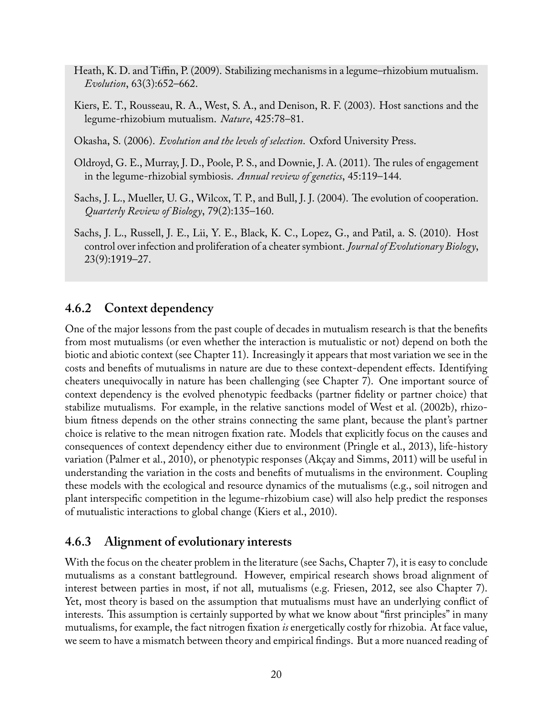- Heath, K. D. and Tiffin, P. (2009). Stabilizing mechanisms in a legume–rhizobium mutualism. *Evolution*, 63(3):652–662.
- Kiers, E. T., Rousseau, R. A., West, S. A., and Denison, R. F. (2003). Host sanctions and the legume-rhizobium mutualism. *Nature*, 425:78–81.
- Okasha, S. (2006). *Evolution and the levels of selection*. Oxford University Press.
- Oldroyd, G. E., Murray, J. D., Poole, P. S., and Downie, J. A. (2011). The rules of engagement in the legume-rhizobial symbiosis. *Annual review of genetics*, 45:119–144.
- Sachs, J. L., Mueller, U. G., Wilcox, T. P., and Bull, J. J. (2004). The evolution of cooperation. *Quarterly Review of Biology*, 79(2):135–160.
- Sachs, J. L., Russell, J. E., Lii, Y. E., Black, K. C., Lopez, G., and Patil, a. S. (2010). Host control over infection and proliferation of a cheater symbiont. *Journal of Evolutionary Biology*, 23(9):1919–27.

## **4.6.2 Context dependency**

One of the major lessons from the past couple of decades in mutualism research is that the benefits from most mutualisms (or even whether the interaction is mutualistic or not) depend on both the biotic and abiotic context (see Chapter 11). Increasingly it appears that most variation we see in the costs and benefits of mutualisms in nature are due to these context-dependent effects. Identifying cheaters unequivocally in nature has been challenging (see Chapter 7). One important source of context dependency is the evolved phenotypic feedbacks (partner fidelity or partner choice) that stabilize mutualisms. For example, in the relative sanctions model of West et al. (2002b), rhizobium fitness depends on the other strains connecting the same plant, because the plant's partner choice is relative to the mean nitrogen fixation rate. Models that explicitly focus on the causes and consequences of context dependency either due to environment (Pringle et al., 2013), life-history variation (Palmer et al., 2010), or phenotypic responses (Akçay and Simms, 2011) will be useful in understanding the variation in the costs and benefits of mutualisms in the environment. Coupling these models with the ecological and resource dynamics of the mutualisms (e.g., soil nitrogen and plant interspecific competition in the legume-rhizobium case) will also help predict the responses of mutualistic interactions to global change (Kiers et al., 2010).

### **4.6.3 Alignment of evolutionary interests**

With the focus on the cheater problem in the literature (see Sachs, Chapter 7), it is easy to conclude mutualisms as a constant battleground. However, empirical research shows broad alignment of interest between parties in most, if not all, mutualisms (e.g. Friesen, 2012, see also Chapter 7). Yet, most theory is based on the assumption that mutualisms must have an underlying conflict of interests. This assumption is certainly supported by what we know about "first principles" in many mutualisms, for example, the fact nitrogen fixation *is* energetically costly for rhizobia. At face value, we seem to have a mismatch between theory and empirical findings. But a more nuanced reading of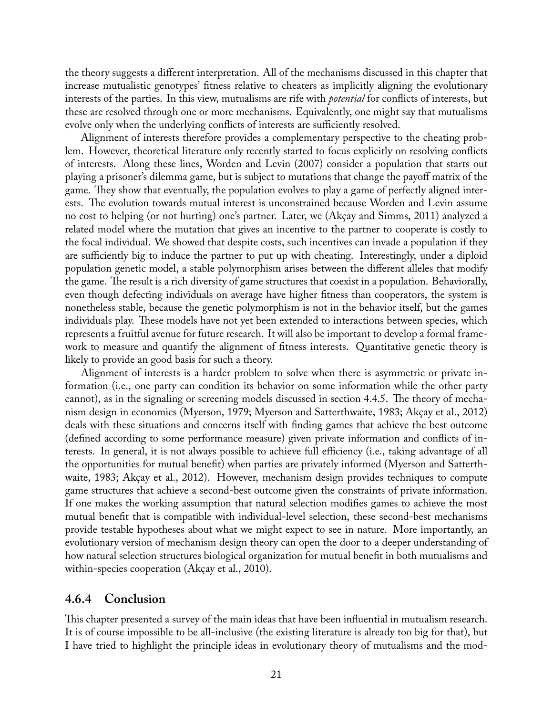the theory suggests a different interpretation. All of the mechanisms discussed in this chapter that increase mutualistic genotypes' fitness relative to cheaters as implicitly aligning the evolutionary interests of the parties. In this view, mutualisms are rife with *potential* for conflicts of interests, but these are resolved through one or more mechanisms. Equivalently, one might say that mutualisms evolve only when the underlying conflicts of interests are sufficiently resolved.

Alignment of interests therefore provides a complementary perspective to the cheating problem. However, theoretical literature only recently started to focus explicitly on resolving conflicts of interests. Along these lines, Worden and Levin (2007) consider a population that starts out playing a prisoner's dilemma game, but is subject to mutations that change the payoff matrix of the game. They show that eventually, the population evolves to play a game of perfectly aligned interests. The evolution towards mutual interest is unconstrained because Worden and Levin assume no cost to helping (or not hurting) one's partner. Later, we (Akçay and Simms, 2011) analyzed a related model where the mutation that gives an incentive to the partner to cooperate is costly to the focal individual. We showed that despite costs, such incentives can invade a population if they are sufficiently big to induce the partner to put up with cheating. Interestingly, under a diploid population genetic model, a stable polymorphism arises between the different alleles that modify the game. The result is a rich diversity of game structures that coexist in a population. Behaviorally, even though defecting individuals on average have higher fitness than cooperators, the system is nonetheless stable, because the genetic polymorphism is not in the behavior itself, but the games individuals play. These models have not yet been extended to interactions between species, which represents a fruitful avenue for future research. It will also be important to develop a formal framework to measure and quantify the alignment of fitness interests. Quantitative genetic theory is likely to provide an good basis for such a theory.

Alignment of interests is a harder problem to solve when there is asymmetric or private information (i.e., one party can condition its behavior on some information while the other party cannot), as in the signaling or screening models discussed in section 4.4.5. The theory of mechanism design in economics (Myerson, 1979; Myerson and Satterthwaite, 1983; Akçay et al., 2012) deals with these situations and concerns itself with finding games that achieve the best outcome (defined according to some performance measure) given private information and conflicts of interests. In general, it is not always possible to achieve full efficiency (i.e., taking advantage of all the opportunities for mutual benefit) when parties are privately informed (Myerson and Satterthwaite, 1983; Akçay et al., 2012). However, mechanism design provides techniques to compute game structures that achieve a second-best outcome given the constraints of private information. If one makes the working assumption that natural selection modifies games to achieve the most mutual benefit that is compatible with individual-level selection, these second-best mechanisms provide testable hypotheses about what we might expect to see in nature. More importantly, an evolutionary version of mechanism design theory can open the door to a deeper understanding of how natural selection structures biological organization for mutual benefit in both mutualisms and within-species cooperation (Akçay et al., 2010).

#### **4.6.4 Conclusion**

This chapter presented a survey of the main ideas that have been influential in mutualism research. It is of course impossible to be all-inclusive (the existing literature is already too big for that), but I have tried to highlight the principle ideas in evolutionary theory of mutualisms and the mod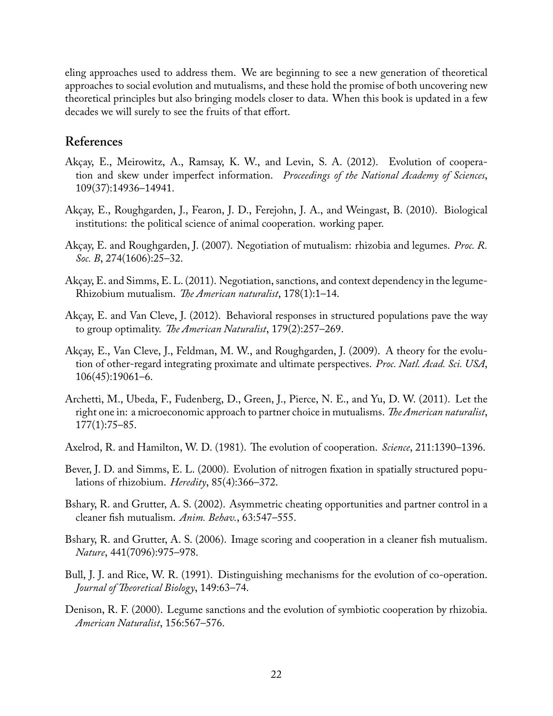eling approaches used to address them. We are beginning to see a new generation of theoretical approaches to social evolution and mutualisms, and these hold the promise of both uncovering new theoretical principles but also bringing models closer to data. When this book is updated in a few decades we will surely to see the fruits of that effort.

### **References**

- Akçay, E., Meirowitz, A., Ramsay, K. W., and Levin, S. A. (2012). Evolution of cooperation and skew under imperfect information. *Proceedings of the National Academy of Sciences*, 109(37):14936–14941.
- Akçay, E., Roughgarden, J., Fearon, J. D., Ferejohn, J. A., and Weingast, B. (2010). Biological institutions: the political science of animal cooperation. working paper.
- Akçay, E. and Roughgarden, J. (2007). Negotiation of mutualism: rhizobia and legumes. *Proc. R. Soc. B*, 274(1606):25–32.
- Akçay, E. and Simms, E. L. (2011). Negotiation, sanctions, and context dependency in the legume-Rhizobium mutualism. *The American naturalist*, 178(1):1–14.
- Akçay, E. and Van Cleve, J. (2012). Behavioral responses in structured populations pave the way to group optimality. *The American Naturalist*, 179(2):257–269.
- Akçay, E., Van Cleve, J., Feldman, M. W., and Roughgarden, J. (2009). A theory for the evolution of other-regard integrating proximate and ultimate perspectives. *Proc. Natl. Acad. Sci. USA*, 106(45):19061–6.
- Archetti, M., Ubeda, F., Fudenberg, D., Green, J., Pierce, N. E., and Yu, D. W. (2011). Let the right one in: a microeconomic approach to partner choice in mutualisms. *The American naturalist*, 177(1):75–85.
- Axelrod, R. and Hamilton, W. D. (1981). The evolution of cooperation. *Science*, 211:1390–1396.
- Bever, J. D. and Simms, E. L. (2000). Evolution of nitrogen fixation in spatially structured populations of rhizobium. *Heredity*, 85(4):366–372.
- Bshary, R. and Grutter, A. S. (2002). Asymmetric cheating opportunities and partner control in a cleaner fish mutualism. *Anim. Behav.*, 63:547–555.
- Bshary, R. and Grutter, A. S. (2006). Image scoring and cooperation in a cleaner fish mutualism. *Nature*, 441(7096):975–978.
- Bull, J. J. and Rice, W. R. (1991). Distinguishing mechanisms for the evolution of co-operation. *Journal of Theoretical Biology*, 149:63–74.
- Denison, R. F. (2000). Legume sanctions and the evolution of symbiotic cooperation by rhizobia. *American Naturalist*, 156:567–576.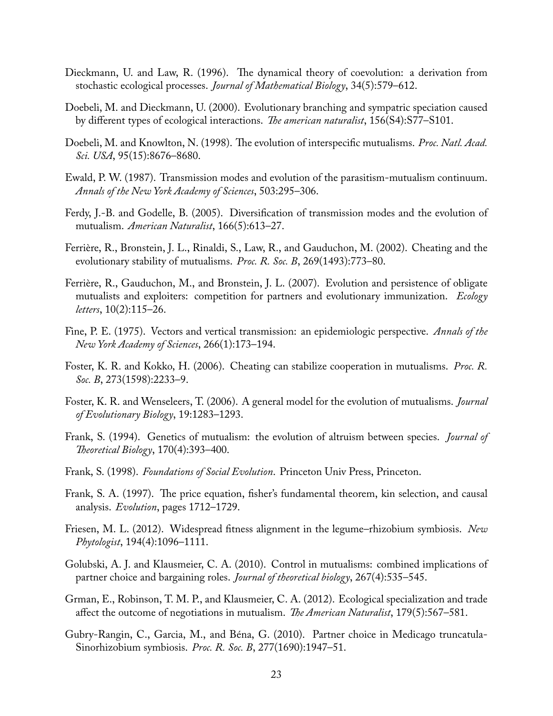- Dieckmann, U. and Law, R. (1996). The dynamical theory of coevolution: a derivation from stochastic ecological processes. *Journal of Mathematical Biology*, 34(5):579–612.
- Doebeli, M. and Dieckmann, U. (2000). Evolutionary branching and sympatric speciation caused by different types of ecological interactions. *The american naturalist*, 156(S4):S77–S101.
- Doebeli, M. and Knowlton, N. (1998). The evolution of interspecific mutualisms. *Proc. Natl. Acad. Sci. USA*, 95(15):8676–8680.
- Ewald, P. W. (1987). Transmission modes and evolution of the parasitism-mutualism continuum. *Annals of the New York Academy of Sciences*, 503:295–306.
- Ferdy, J.-B. and Godelle, B. (2005). Diversification of transmission modes and the evolution of mutualism. *American Naturalist*, 166(5):613–27.
- Ferrière, R., Bronstein, J. L., Rinaldi, S., Law, R., and Gauduchon, M. (2002). Cheating and the evolutionary stability of mutualisms. *Proc. R. Soc. B*, 269(1493):773–80.
- Ferrière, R., Gauduchon, M., and Bronstein, J. L. (2007). Evolution and persistence of obligate mutualists and exploiters: competition for partners and evolutionary immunization. *Ecology letters*, 10(2):115–26.
- Fine, P. E. (1975). Vectors and vertical transmission: an epidemiologic perspective. *Annals of the New York Academy of Sciences*, 266(1):173–194.
- Foster, K. R. and Kokko, H. (2006). Cheating can stabilize cooperation in mutualisms. *Proc. R. Soc. B*, 273(1598):2233–9.
- Foster, K. R. and Wenseleers, T. (2006). A general model for the evolution of mutualisms. *Journal of Evolutionary Biology*, 19:1283–1293.
- Frank, S. (1994). Genetics of mutualism: the evolution of altruism between species. *Journal of Theoretical Biology*, 170(4):393–400.
- Frank, S. (1998). *Foundations of Social Evolution*. Princeton Univ Press, Princeton.
- Frank, S. A. (1997). The price equation, fisher's fundamental theorem, kin selection, and causal analysis. *Evolution*, pages 1712–1729.
- Friesen, M. L. (2012). Widespread fitness alignment in the legume–rhizobium symbiosis. *New Phytologist*, 194(4):1096–1111.
- Golubski, A. J. and Klausmeier, C. A. (2010). Control in mutualisms: combined implications of partner choice and bargaining roles. *Journal of theoretical biology*, 267(4):535–545.
- Grman, E., Robinson, T. M. P., and Klausmeier, C. A. (2012). Ecological specialization and trade affect the outcome of negotiations in mutualism. *The American Naturalist*, 179(5):567–581.
- Gubry-Rangin, C., Garcia, M., and Béna, G. (2010). Partner choice in Medicago truncatula-Sinorhizobium symbiosis. *Proc. R. Soc. B*, 277(1690):1947–51.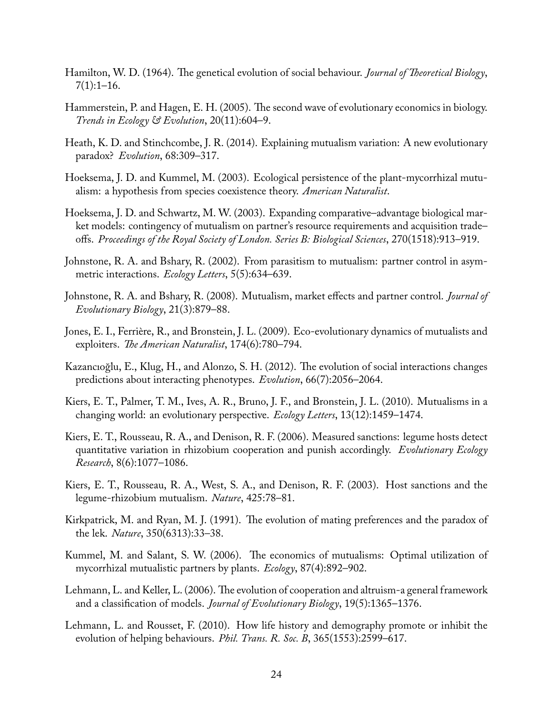- Hamilton, W. D. (1964). The genetical evolution of social behaviour. *Journal of Theoretical Biology*,  $7(1):1-16.$
- Hammerstein, P. and Hagen, E. H. (2005). The second wave of evolutionary economics in biology. *Trends in Ecology & Evolution*, 20(11):604–9.
- Heath, K. D. and Stinchcombe, J. R. (2014). Explaining mutualism variation: A new evolutionary paradox? *Evolution*, 68:309–317.
- Hoeksema, J. D. and Kummel, M. (2003). Ecological persistence of the plant-mycorrhizal mutualism: a hypothesis from species coexistence theory. *American Naturalist*.
- Hoeksema, J. D. and Schwartz, M. W. (2003). Expanding comparative–advantage biological market models: contingency of mutualism on partner's resource requirements and acquisition trade– offs. *Proceedings of the Royal Society of London. Series B: Biological Sciences*, 270(1518):913–919.
- Johnstone, R. A. and Bshary, R. (2002). From parasitism to mutualism: partner control in asymmetric interactions. *Ecology Letters*, 5(5):634–639.
- Johnstone, R. A. and Bshary, R. (2008). Mutualism, market effects and partner control. *Journal of Evolutionary Biology*, 21(3):879–88.
- Jones, E. I., Ferrière, R., and Bronstein, J. L. (2009). Eco-evolutionary dynamics of mutualists and exploiters. *The American Naturalist*, 174(6):780–794.
- Kazancıoğlu, E., Klug, H., and Alonzo, S. H. (2012). The evolution of social interactions changes predictions about interacting phenotypes. *Evolution*, 66(7):2056–2064.
- Kiers, E. T., Palmer, T. M., Ives, A. R., Bruno, J. F., and Bronstein, J. L. (2010). Mutualisms in a changing world: an evolutionary perspective. *Ecology Letters*, 13(12):1459–1474.
- Kiers, E. T., Rousseau, R. A., and Denison, R. F. (2006). Measured sanctions: legume hosts detect quantitative variation in rhizobium cooperation and punish accordingly. *Evolutionary Ecology Research*, 8(6):1077–1086.
- Kiers, E. T., Rousseau, R. A., West, S. A., and Denison, R. F. (2003). Host sanctions and the legume-rhizobium mutualism. *Nature*, 425:78–81.
- Kirkpatrick, M. and Ryan, M. J. (1991). The evolution of mating preferences and the paradox of the lek. *Nature*, 350(6313):33–38.
- Kummel, M. and Salant, S. W. (2006). The economics of mutualisms: Optimal utilization of mycorrhizal mutualistic partners by plants. *Ecology*, 87(4):892–902.
- Lehmann, L. and Keller, L. (2006). The evolution of cooperation and altruism-a general framework and a classification of models. *Journal of Evolutionary Biology*, 19(5):1365–1376.
- Lehmann, L. and Rousset, F. (2010). How life history and demography promote or inhibit the evolution of helping behaviours. *Phil. Trans. R. Soc. B*, 365(1553):2599–617.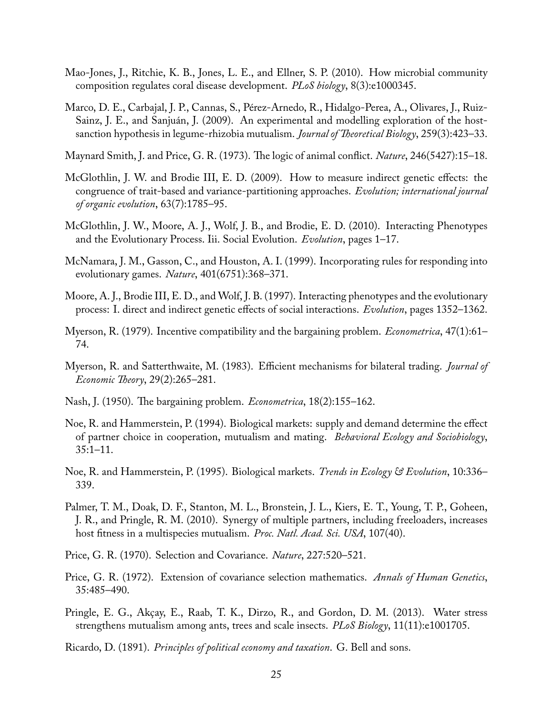- Mao-Jones, J., Ritchie, K. B., Jones, L. E., and Ellner, S. P. (2010). How microbial community composition regulates coral disease development. *PLoS biology*, 8(3):e1000345.
- Marco, D. E., Carbajal, J. P., Cannas, S., Pérez-Arnedo, R., Hidalgo-Perea, A., Olivares, J., Ruiz-Sainz, J. E., and Sanjuán, J. (2009). An experimental and modelling exploration of the hostsanction hypothesis in legume-rhizobia mutualism. *Journal of Theoretical Biology*, 259(3):423–33.

Maynard Smith, J. and Price, G. R. (1973). The logic of animal conflict. *Nature*, 246(5427):15–18.

- McGlothlin, J. W. and Brodie III, E. D. (2009). How to measure indirect genetic effects: the congruence of trait-based and variance-partitioning approaches. *Evolution; international journal of organic evolution*, 63(7):1785–95.
- McGlothlin, J. W., Moore, A. J., Wolf, J. B., and Brodie, E. D. (2010). Interacting Phenotypes and the Evolutionary Process. Iii. Social Evolution. *Evolution*, pages 1–17.
- McNamara, J. M., Gasson, C., and Houston, A. I. (1999). Incorporating rules for responding into evolutionary games. *Nature*, 401(6751):368–371.
- Moore, A. J., Brodie III, E. D., and Wolf, J. B. (1997). Interacting phenotypes and the evolutionary process: I. direct and indirect genetic effects of social interactions. *Evolution*, pages 1352–1362.
- Myerson, R. (1979). Incentive compatibility and the bargaining problem. *Econometrica*, 47(1):61– 74.
- Myerson, R. and Satterthwaite, M. (1983). Efficient mechanisms for bilateral trading. *Journal of Economic Theory*, 29(2):265–281.
- Nash, J. (1950). The bargaining problem. *Econometrica*, 18(2):155–162.
- Noe, R. and Hammerstein, P. (1994). Biological markets: supply and demand determine the effect of partner choice in cooperation, mutualism and mating. *Behavioral Ecology and Sociobiology*, 35:1–11.
- Noe, R. and Hammerstein, P. (1995). Biological markets. *Trends in Ecology & Evolution*, 10:336– 339.
- Palmer, T. M., Doak, D. F., Stanton, M. L., Bronstein, J. L., Kiers, E. T., Young, T. P., Goheen, J. R., and Pringle, R. M. (2010). Synergy of multiple partners, including freeloaders, increases host fitness in a multispecies mutualism. *Proc. Natl. Acad. Sci. USA*, 107(40).
- Price, G. R. (1970). Selection and Covariance. *Nature*, 227:520–521.
- Price, G. R. (1972). Extension of covariance selection mathematics. *Annals of Human Genetics*, 35:485–490.
- Pringle, E. G., Akçay, E., Raab, T. K., Dirzo, R., and Gordon, D. M. (2013). Water stress strengthens mutualism among ants, trees and scale insects. *PLoS Biology*, 11(11):e1001705.
- Ricardo, D. (1891). *Principles of political economy and taxation*. G. Bell and sons.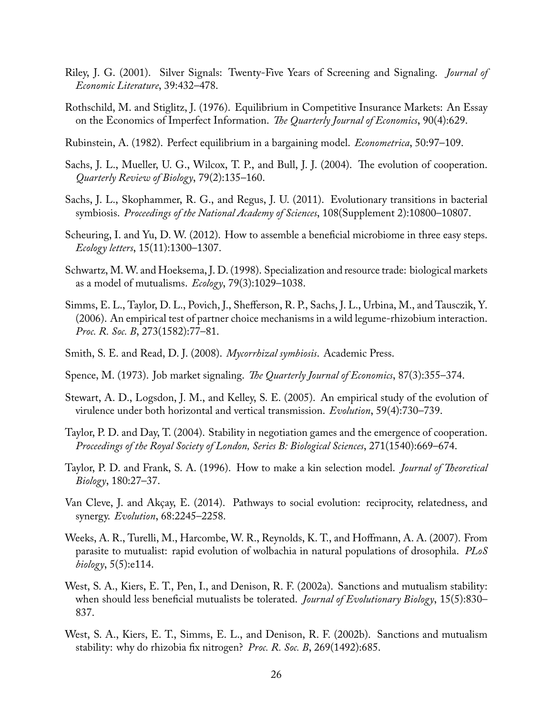- Riley, J. G. (2001). Silver Signals: Twenty-Five Years of Screening and Signaling. *Journal of Economic Literature*, 39:432–478.
- Rothschild, M. and Stiglitz, J. (1976). Equilibrium in Competitive Insurance Markets: An Essay on the Economics of Imperfect Information. *The Quarterly Journal of Economics*, 90(4):629.
- Rubinstein, A. (1982). Perfect equilibrium in a bargaining model. *Econometrica*, 50:97–109.
- Sachs, J. L., Mueller, U. G., Wilcox, T. P., and Bull, J. J. (2004). The evolution of cooperation. *Quarterly Review of Biology*, 79(2):135–160.
- Sachs, J. L., Skophammer, R. G., and Regus, J. U. (2011). Evolutionary transitions in bacterial symbiosis. *Proceedings of the National Academy of Sciences*, 108(Supplement 2):10800–10807.
- Scheuring, I. and Yu, D. W. (2012). How to assemble a beneficial microbiome in three easy steps. *Ecology letters*, 15(11):1300–1307.
- Schwartz, M.W. and Hoeksema, J. D. (1998). Specialization and resource trade: biological markets as a model of mutualisms. *Ecology*, 79(3):1029–1038.
- Simms, E. L., Taylor, D. L., Povich, J., Shefferson, R. P., Sachs, J. L., Urbina, M., and Tausczik, Y. (2006). An empirical test of partner choice mechanisms in a wild legume-rhizobium interaction. *Proc. R. Soc. B*, 273(1582):77–81.
- Smith, S. E. and Read, D. J. (2008). *Mycorrhizal symbiosis*. Academic Press.
- Spence, M. (1973). Job market signaling. *The Quarterly Journal of Economics*, 87(3):355–374.
- Stewart, A. D., Logsdon, J. M., and Kelley, S. E. (2005). An empirical study of the evolution of virulence under both horizontal and vertical transmission. *Evolution*, 59(4):730–739.
- Taylor, P. D. and Day, T. (2004). Stability in negotiation games and the emergence of cooperation. *Proceedings of the Royal Society of London, Series B: Biological Sciences*, 271(1540):669–674.
- Taylor, P. D. and Frank, S. A. (1996). How to make a kin selection model. *Journal of Theoretical Biology*, 180:27–37.
- Van Cleve, J. and Akçay, E. (2014). Pathways to social evolution: reciprocity, relatedness, and synergy. *Evolution*, 68:2245–2258.
- Weeks, A. R., Turelli, M., Harcombe, W. R., Reynolds, K. T., and Hoffmann, A. A. (2007). From parasite to mutualist: rapid evolution of wolbachia in natural populations of drosophila. *PLoS biology*, 5(5):e114.
- West, S. A., Kiers, E. T., Pen, I., and Denison, R. F. (2002a). Sanctions and mutualism stability: when should less beneficial mutualists be tolerated. *Journal of Evolutionary Biology*, 15(5):830– 837.
- West, S. A., Kiers, E. T., Simms, E. L., and Denison, R. F. (2002b). Sanctions and mutualism stability: why do rhizobia fix nitrogen? *Proc. R. Soc. B*, 269(1492):685.